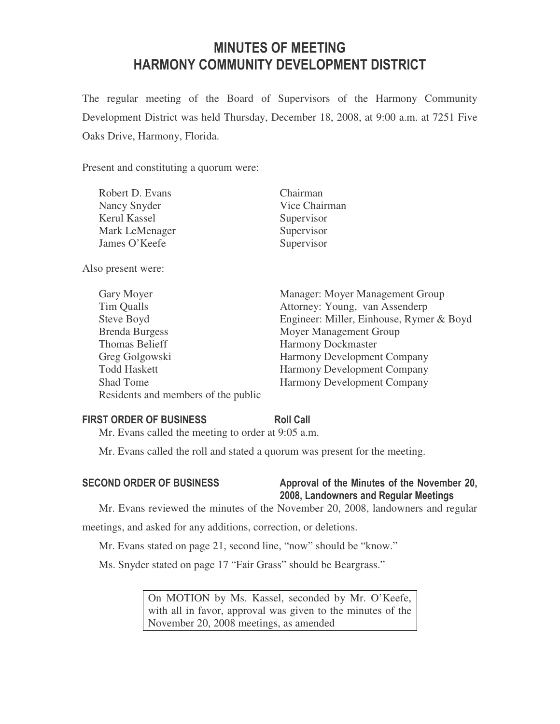# MINUTES OF MEETING HARMONY COMMUNITY DEVELOPMENT DISTRICT

The regular meeting of the Board of Supervisors of the Harmony Community Development District was held Thursday, December 18, 2008, at 9:00 a.m. at 7251 Five Oaks Drive, Harmony, Florida.

Present and constituting a quorum were:

| Robert D. Evans     | Chairman      |
|---------------------|---------------|
| Nancy Snyder        | Vice Chairman |
| <b>Kerul Kassel</b> | Supervisor    |
| Mark LeMenager      | Supervisor    |
| James O'Keefe       | Supervisor    |

Also present were:

| Gary Moyer                          | Manager: Moyer Management Group          |
|-------------------------------------|------------------------------------------|
| Tim Qualls                          | Attorney: Young, van Assenderp           |
| Steve Boyd                          | Engineer: Miller, Einhouse, Rymer & Boyd |
| <b>Brenda Burgess</b>               | Moyer Management Group                   |
| <b>Thomas Belieff</b>               | <b>Harmony Dockmaster</b>                |
| Greg Golgowski                      | <b>Harmony Development Company</b>       |
| <b>Todd Haskett</b>                 | Harmony Development Company              |
| <b>Shad Tome</b>                    | <b>Harmony Development Company</b>       |
| Residents and members of the public |                                          |

### FIRST ORDER OF BUSINESS Roll Call

Mr. Evans called the meeting to order at 9:05 a.m.

Mr. Evans called the roll and stated a quorum was present for the meeting.

# SECOND ORDER OF BUSINESS Approval of the Minutes of the November 20, 2008, Landowners and Regular Meetings

Mr. Evans reviewed the minutes of the November 20, 2008, landowners and regular

meetings, and asked for any additions, correction, or deletions.

Mr. Evans stated on page 21, second line, "now" should be "know."

Ms. Snyder stated on page 17 "Fair Grass" should be Beargrass."

On MOTION by Ms. Kassel, seconded by Mr. O'Keefe, with all in favor, approval was given to the minutes of the November 20, 2008 meetings, as amended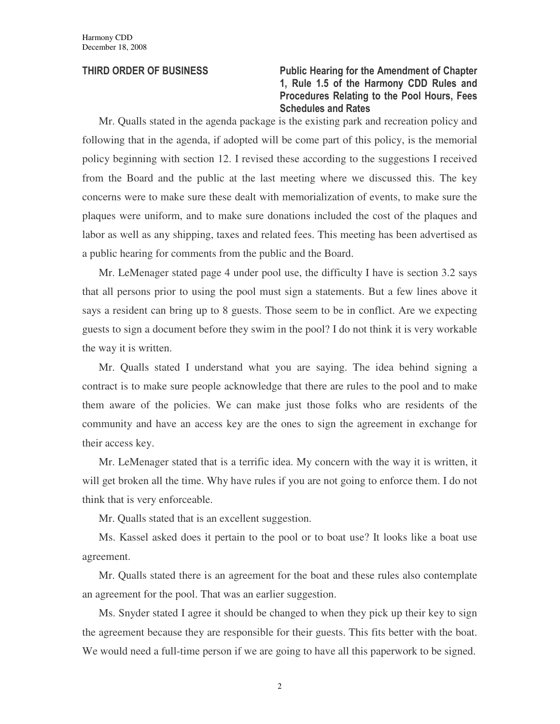# THIRD ORDER OF BUSINESS Public Hearing for the Amendment of Chapter 1, Rule 1.5 of the Harmony CDD Rules and Procedures Relating to the Pool Hours, Fees Schedules and Rates

Mr. Qualls stated in the agenda package is the existing park and recreation policy and following that in the agenda, if adopted will be come part of this policy, is the memorial policy beginning with section 12. I revised these according to the suggestions I received from the Board and the public at the last meeting where we discussed this. The key concerns were to make sure these dealt with memorialization of events, to make sure the plaques were uniform, and to make sure donations included the cost of the plaques and labor as well as any shipping, taxes and related fees. This meeting has been advertised as a public hearing for comments from the public and the Board.

Mr. LeMenager stated page 4 under pool use, the difficulty I have is section 3.2 says that all persons prior to using the pool must sign a statements. But a few lines above it says a resident can bring up to 8 guests. Those seem to be in conflict. Are we expecting guests to sign a document before they swim in the pool? I do not think it is very workable the way it is written.

Mr. Qualls stated I understand what you are saying. The idea behind signing a contract is to make sure people acknowledge that there are rules to the pool and to make them aware of the policies. We can make just those folks who are residents of the community and have an access key are the ones to sign the agreement in exchange for their access key.

Mr. LeMenager stated that is a terrific idea. My concern with the way it is written, it will get broken all the time. Why have rules if you are not going to enforce them. I do not think that is very enforceable.

Mr. Qualls stated that is an excellent suggestion.

Ms. Kassel asked does it pertain to the pool or to boat use? It looks like a boat use agreement.

Mr. Qualls stated there is an agreement for the boat and these rules also contemplate an agreement for the pool. That was an earlier suggestion.

Ms. Snyder stated I agree it should be changed to when they pick up their key to sign the agreement because they are responsible for their guests. This fits better with the boat. We would need a full-time person if we are going to have all this paperwork to be signed.

2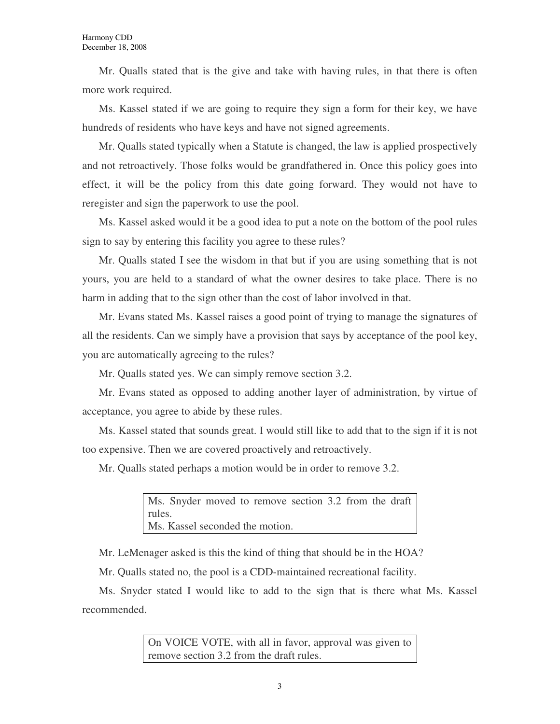Mr. Qualls stated that is the give and take with having rules, in that there is often more work required.

Ms. Kassel stated if we are going to require they sign a form for their key, we have hundreds of residents who have keys and have not signed agreements.

Mr. Qualls stated typically when a Statute is changed, the law is applied prospectively and not retroactively. Those folks would be grandfathered in. Once this policy goes into effect, it will be the policy from this date going forward. They would not have to reregister and sign the paperwork to use the pool.

Ms. Kassel asked would it be a good idea to put a note on the bottom of the pool rules sign to say by entering this facility you agree to these rules?

Mr. Qualls stated I see the wisdom in that but if you are using something that is not yours, you are held to a standard of what the owner desires to take place. There is no harm in adding that to the sign other than the cost of labor involved in that.

Mr. Evans stated Ms. Kassel raises a good point of trying to manage the signatures of all the residents. Can we simply have a provision that says by acceptance of the pool key, you are automatically agreeing to the rules?

Mr. Qualls stated yes. We can simply remove section 3.2.

Mr. Evans stated as opposed to adding another layer of administration, by virtue of acceptance, you agree to abide by these rules.

Ms. Kassel stated that sounds great. I would still like to add that to the sign if it is not too expensive. Then we are covered proactively and retroactively.

Mr. Qualls stated perhaps a motion would be in order to remove 3.2.

Ms. Snyder moved to remove section 3.2 from the draft rules. Ms. Kassel seconded the motion.

Mr. LeMenager asked is this the kind of thing that should be in the HOA?

Mr. Qualls stated no, the pool is a CDD-maintained recreational facility.

Ms. Snyder stated I would like to add to the sign that is there what Ms. Kassel recommended.

> On VOICE VOTE, with all in favor, approval was given to remove section 3.2 from the draft rules.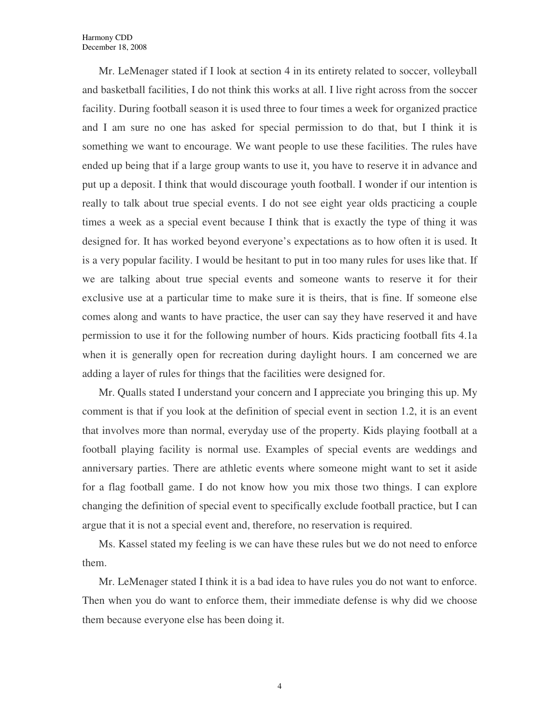Mr. LeMenager stated if I look at section 4 in its entirety related to soccer, volleyball and basketball facilities, I do not think this works at all. I live right across from the soccer facility. During football season it is used three to four times a week for organized practice and I am sure no one has asked for special permission to do that, but I think it is something we want to encourage. We want people to use these facilities. The rules have ended up being that if a large group wants to use it, you have to reserve it in advance and put up a deposit. I think that would discourage youth football. I wonder if our intention is really to talk about true special events. I do not see eight year olds practicing a couple times a week as a special event because I think that is exactly the type of thing it was designed for. It has worked beyond everyone's expectations as to how often it is used. It is a very popular facility. I would be hesitant to put in too many rules for uses like that. If we are talking about true special events and someone wants to reserve it for their exclusive use at a particular time to make sure it is theirs, that is fine. If someone else comes along and wants to have practice, the user can say they have reserved it and have permission to use it for the following number of hours. Kids practicing football fits 4.1a when it is generally open for recreation during daylight hours. I am concerned we are adding a layer of rules for things that the facilities were designed for.

Mr. Qualls stated I understand your concern and I appreciate you bringing this up. My comment is that if you look at the definition of special event in section 1.2, it is an event that involves more than normal, everyday use of the property. Kids playing football at a football playing facility is normal use. Examples of special events are weddings and anniversary parties. There are athletic events where someone might want to set it aside for a flag football game. I do not know how you mix those two things. I can explore changing the definition of special event to specifically exclude football practice, but I can argue that it is not a special event and, therefore, no reservation is required.

Ms. Kassel stated my feeling is we can have these rules but we do not need to enforce them.

Mr. LeMenager stated I think it is a bad idea to have rules you do not want to enforce. Then when you do want to enforce them, their immediate defense is why did we choose them because everyone else has been doing it.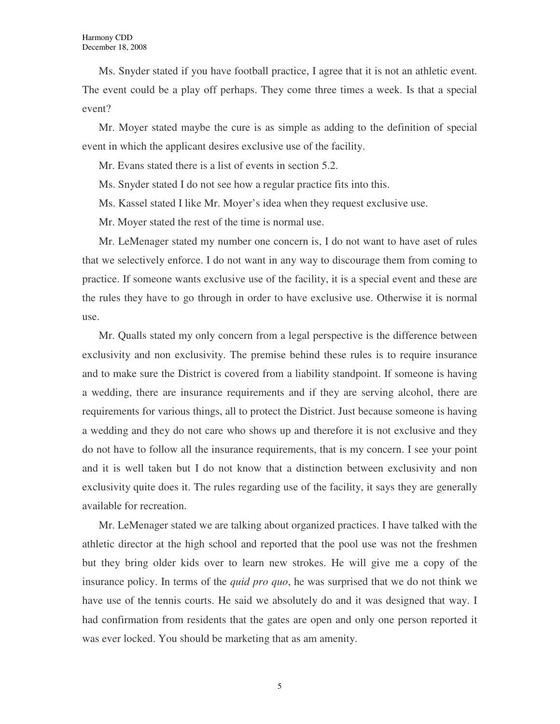Ms. Snyder stated if you have football practice, I agree that it is not an athletic event. The event could be a play off perhaps. They come three times a week. Is that a special event?

Mr. Moyer stated maybe the cure is as simple as adding to the definition of special event in which the applicant desires exclusive use of the facility.

Mr. Evans stated there is a list of events in section 5.2.

Ms. Snyder stated I do not see how a regular practice fits into this.

Ms. Kassel stated I like Mr. Moyer's idea when they request exclusive use.

Mr. Moyer stated the rest of the time is normal use.

Mr. LeMenager stated my number one concern is, I do not want to have aset of rules that we selectively enforce. I do not want in any way to discourage them from coming to practice. If someone wants exclusive use of the facility, it is a special event and these are the rules they have to go through in order to have exclusive use. Otherwise it is normal use.

Mr. Qualls stated my only concern from a legal perspective is the difference between exclusivity and non exclusivity. The premise behind these rules is to require insurance and to make sure the District is covered from a liability standpoint. If someone is having a wedding, there are insurance requirements and if they are serving alcohol, there are requirements for various things, all to protect the District. Just because someone is having a wedding and they do not care who shows up and therefore it is not exclusive and they do not have to follow all the insurance requirements, that is my concern. I see your point and it is well taken but I do not know that a distinction between exclusivity and non exclusivity quite does it. The rules regarding use of the facility, it says they are generally available for recreation.

Mr. LeMenager stated we are talking about organized practices. I have talked with the athletic director at the high school and reported that the pool use was not the freshmen but they bring older kids over to learn new strokes. He will give me a copy of the insurance policy. In terms of the *quid pro quo*, he was surprised that we do not think we have use of the tennis courts. He said we absolutely do and it was designed that way. I had confirmation from residents that the gates are open and only one person reported it was ever locked. You should be marketing that as am amenity.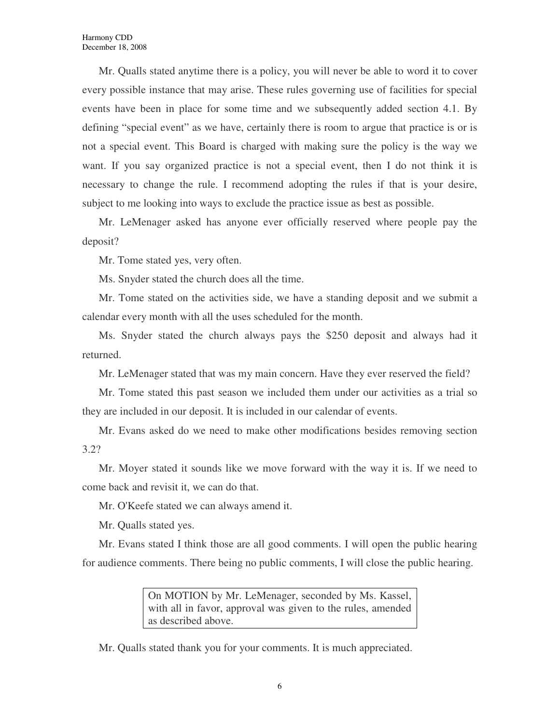Mr. Qualls stated anytime there is a policy, you will never be able to word it to cover every possible instance that may arise. These rules governing use of facilities for special events have been in place for some time and we subsequently added section 4.1. By defining "special event" as we have, certainly there is room to argue that practice is or is not a special event. This Board is charged with making sure the policy is the way we want. If you say organized practice is not a special event, then I do not think it is necessary to change the rule. I recommend adopting the rules if that is your desire, subject to me looking into ways to exclude the practice issue as best as possible.

Mr. LeMenager asked has anyone ever officially reserved where people pay the deposit?

Mr. Tome stated yes, very often.

Ms. Snyder stated the church does all the time.

Mr. Tome stated on the activities side, we have a standing deposit and we submit a calendar every month with all the uses scheduled for the month.

Ms. Snyder stated the church always pays the \$250 deposit and always had it returned.

Mr. LeMenager stated that was my main concern. Have they ever reserved the field?

Mr. Tome stated this past season we included them under our activities as a trial so they are included in our deposit. It is included in our calendar of events.

Mr. Evans asked do we need to make other modifications besides removing section 3.2?

Mr. Moyer stated it sounds like we move forward with the way it is. If we need to come back and revisit it, we can do that.

Mr. O'Keefe stated we can always amend it.

Mr. Qualls stated yes.

Mr. Evans stated I think those are all good comments. I will open the public hearing for audience comments. There being no public comments, I will close the public hearing.

> On MOTION by Mr. LeMenager, seconded by Ms. Kassel, with all in favor, approval was given to the rules, amended as described above.

Mr. Qualls stated thank you for your comments. It is much appreciated.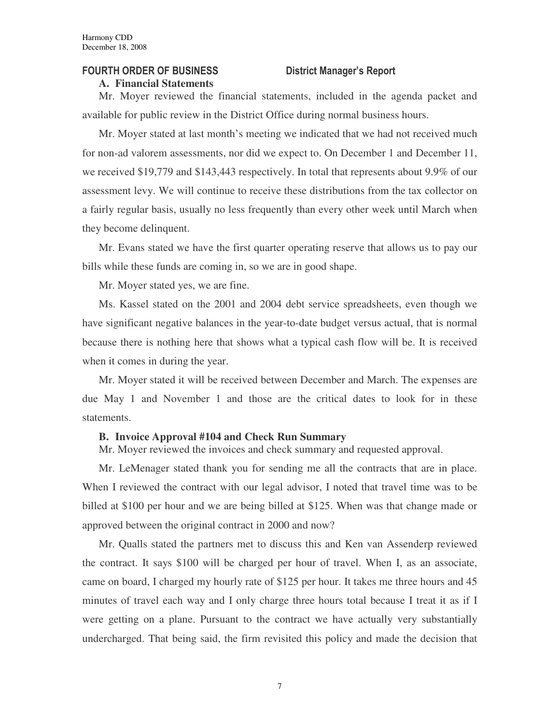### FOURTH ORDER OF BUSINESS District Manager's Report

#### **A. Financial Statements**

Mr. Moyer reviewed the financial statements, included in the agenda packet and available for public review in the District Office during normal business hours.

Mr. Moyer stated at last month's meeting we indicated that we had not received much for non-ad valorem assessments, nor did we expect to. On December 1 and December 11, we received \$19,779 and \$143,443 respectively. In total that represents about 9.9% of our assessment levy. We will continue to receive these distributions from the tax collector on a fairly regular basis, usually no less frequently than every other week until March when they become delinquent.

Mr. Evans stated we have the first quarter operating reserve that allows us to pay our bills while these funds are coming in, so we are in good shape.

Mr. Moyer stated yes, we are fine.

Ms. Kassel stated on the 2001 and 2004 debt service spreadsheets, even though we have significant negative balances in the year-to-date budget versus actual, that is normal because there is nothing here that shows what a typical cash flow will be. It is received when it comes in during the year.

Mr. Moyer stated it will be received between December and March. The expenses are due May 1 and November 1 and those are the critical dates to look for in these statements.

#### **B. Invoice Approval #104 and Check Run Summary**

Mr. Moyer reviewed the invoices and check summary and requested approval.

Mr. LeMenager stated thank you for sending me all the contracts that are in place. When I reviewed the contract with our legal advisor, I noted that travel time was to be billed at \$100 per hour and we are being billed at \$125. When was that change made or approved between the original contract in 2000 and now?

Mr. Qualls stated the partners met to discuss this and Ken van Assenderp reviewed the contract. It says \$100 will be charged per hour of travel. When I, as an associate, came on board, I charged my hourly rate of \$125 per hour. It takes me three hours and 45 minutes of travel each way and I only charge three hours total because I treat it as if I were getting on a plane. Pursuant to the contract we have actually very substantially undercharged. That being said, the firm revisited this policy and made the decision that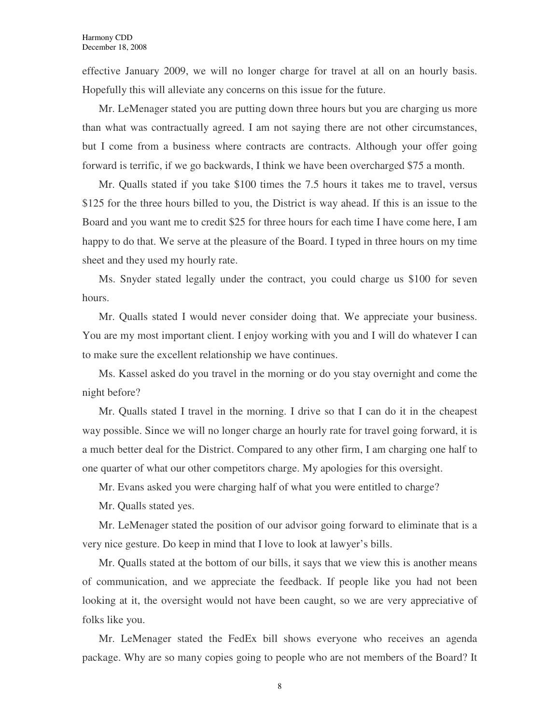effective January 2009, we will no longer charge for travel at all on an hourly basis. Hopefully this will alleviate any concerns on this issue for the future.

Mr. LeMenager stated you are putting down three hours but you are charging us more than what was contractually agreed. I am not saying there are not other circumstances, but I come from a business where contracts are contracts. Although your offer going forward is terrific, if we go backwards, I think we have been overcharged \$75 a month.

Mr. Qualls stated if you take \$100 times the 7.5 hours it takes me to travel, versus \$125 for the three hours billed to you, the District is way ahead. If this is an issue to the Board and you want me to credit \$25 for three hours for each time I have come here, I am happy to do that. We serve at the pleasure of the Board. I typed in three hours on my time sheet and they used my hourly rate.

Ms. Snyder stated legally under the contract, you could charge us \$100 for seven hours.

Mr. Qualls stated I would never consider doing that. We appreciate your business. You are my most important client. I enjoy working with you and I will do whatever I can to make sure the excellent relationship we have continues.

Ms. Kassel asked do you travel in the morning or do you stay overnight and come the night before?

Mr. Qualls stated I travel in the morning. I drive so that I can do it in the cheapest way possible. Since we will no longer charge an hourly rate for travel going forward, it is a much better deal for the District. Compared to any other firm, I am charging one half to one quarter of what our other competitors charge. My apologies for this oversight.

Mr. Evans asked you were charging half of what you were entitled to charge?

Mr. Qualls stated yes.

Mr. LeMenager stated the position of our advisor going forward to eliminate that is a very nice gesture. Do keep in mind that I love to look at lawyer's bills.

Mr. Qualls stated at the bottom of our bills, it says that we view this is another means of communication, and we appreciate the feedback. If people like you had not been looking at it, the oversight would not have been caught, so we are very appreciative of folks like you.

Mr. LeMenager stated the FedEx bill shows everyone who receives an agenda package. Why are so many copies going to people who are not members of the Board? It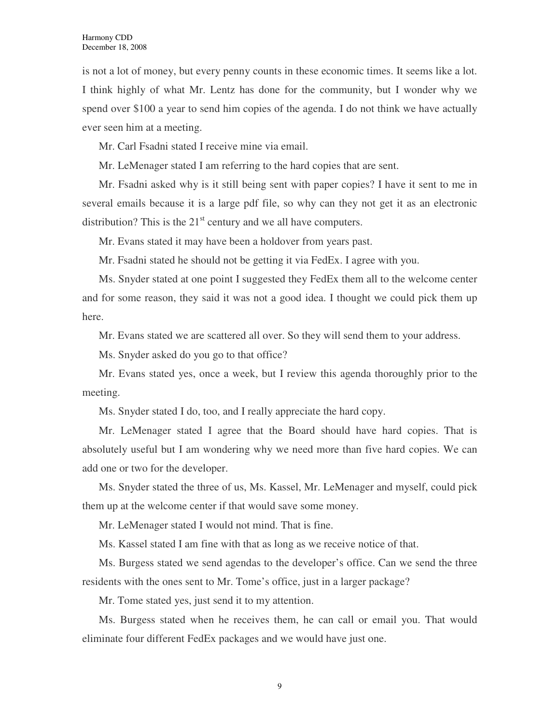is not a lot of money, but every penny counts in these economic times. It seems like a lot. I think highly of what Mr. Lentz has done for the community, but I wonder why we spend over \$100 a year to send him copies of the agenda. I do not think we have actually ever seen him at a meeting.

Mr. Carl Fsadni stated I receive mine via email.

Mr. LeMenager stated I am referring to the hard copies that are sent.

Mr. Fsadni asked why is it still being sent with paper copies? I have it sent to me in several emails because it is a large pdf file, so why can they not get it as an electronic distribution? This is the  $21<sup>st</sup>$  century and we all have computers.

Mr. Evans stated it may have been a holdover from years past.

Mr. Fsadni stated he should not be getting it via FedEx. I agree with you.

Ms. Snyder stated at one point I suggested they FedEx them all to the welcome center and for some reason, they said it was not a good idea. I thought we could pick them up here.

Mr. Evans stated we are scattered all over. So they will send them to your address.

Ms. Snyder asked do you go to that office?

Mr. Evans stated yes, once a week, but I review this agenda thoroughly prior to the meeting.

Ms. Snyder stated I do, too, and I really appreciate the hard copy.

Mr. LeMenager stated I agree that the Board should have hard copies. That is absolutely useful but I am wondering why we need more than five hard copies. We can add one or two for the developer.

Ms. Snyder stated the three of us, Ms. Kassel, Mr. LeMenager and myself, could pick them up at the welcome center if that would save some money.

Mr. LeMenager stated I would not mind. That is fine.

Ms. Kassel stated I am fine with that as long as we receive notice of that.

Ms. Burgess stated we send agendas to the developer's office. Can we send the three residents with the ones sent to Mr. Tome's office, just in a larger package?

Mr. Tome stated yes, just send it to my attention.

Ms. Burgess stated when he receives them, he can call or email you. That would eliminate four different FedEx packages and we would have just one.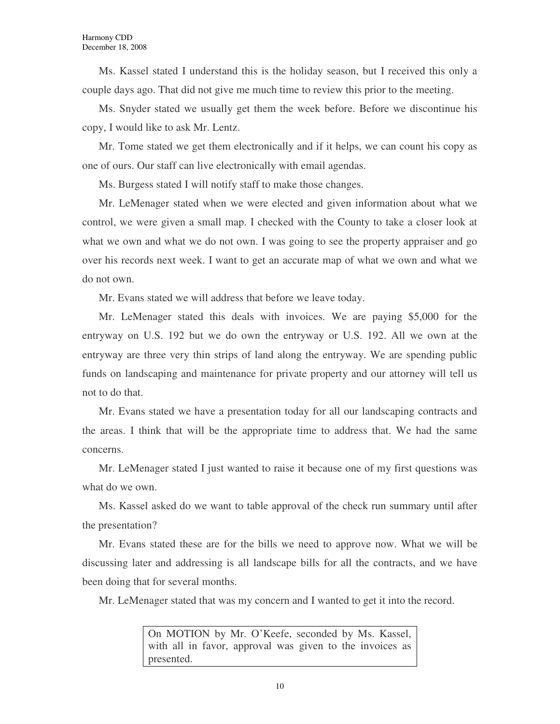Ms. Kassel stated I understand this is the holiday season, but I received this only a couple days ago. That did not give me much time to review this prior to the meeting.

Ms. Snyder stated we usually get them the week before. Before we discontinue his copy, I would like to ask Mr. Lentz.

Mr. Tome stated we get them electronically and if it helps, we can count his copy as one of ours. Our staff can live electronically with email agendas.

Ms. Burgess stated I will notify staff to make those changes.

Mr. LeMenager stated when we were elected and given information about what we control, we were given a small map. I checked with the County to take a closer look at what we own and what we do not own. I was going to see the property appraiser and go over his records next week. I want to get an accurate map of what we own and what we do not own.

Mr. Evans stated we will address that before we leave today.

Mr. LeMenager stated this deals with invoices. We are paying \$5,000 for the entryway on U.S. 192 but we do own the entryway or U.S. 192. All we own at the entryway are three very thin strips of land along the entryway. We are spending public funds on landscaping and maintenance for private property and our attorney will tell us not to do that.

Mr. Evans stated we have a presentation today for all our landscaping contracts and the areas. I think that will be the appropriate time to address that. We had the same concerns.

Mr. LeMenager stated I just wanted to raise it because one of my first questions was what do we own.

Ms. Kassel asked do we want to table approval of the check run summary until after the presentation?

Mr. Evans stated these are for the bills we need to approve now. What we will be discussing later and addressing is all landscape bills for all the contracts, and we have been doing that for several months.

Mr. LeMenager stated that was my concern and I wanted to get it into the record.

On MOTION by Mr. O'Keefe, seconded by Ms. Kassel, with all in favor, approval was given to the invoices as presented.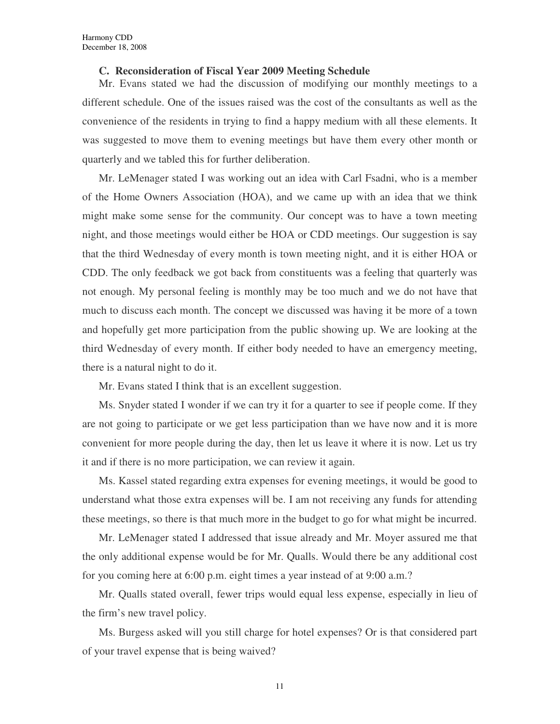#### **C. Reconsideration of Fiscal Year 2009 Meeting Schedule**

Mr. Evans stated we had the discussion of modifying our monthly meetings to a different schedule. One of the issues raised was the cost of the consultants as well as the convenience of the residents in trying to find a happy medium with all these elements. It was suggested to move them to evening meetings but have them every other month or quarterly and we tabled this for further deliberation.

Mr. LeMenager stated I was working out an idea with Carl Fsadni, who is a member of the Home Owners Association (HOA), and we came up with an idea that we think might make some sense for the community. Our concept was to have a town meeting night, and those meetings would either be HOA or CDD meetings. Our suggestion is say that the third Wednesday of every month is town meeting night, and it is either HOA or CDD. The only feedback we got back from constituents was a feeling that quarterly was not enough. My personal feeling is monthly may be too much and we do not have that much to discuss each month. The concept we discussed was having it be more of a town and hopefully get more participation from the public showing up. We are looking at the third Wednesday of every month. If either body needed to have an emergency meeting, there is a natural night to do it.

Mr. Evans stated I think that is an excellent suggestion.

Ms. Snyder stated I wonder if we can try it for a quarter to see if people come. If they are not going to participate or we get less participation than we have now and it is more convenient for more people during the day, then let us leave it where it is now. Let us try it and if there is no more participation, we can review it again.

Ms. Kassel stated regarding extra expenses for evening meetings, it would be good to understand what those extra expenses will be. I am not receiving any funds for attending these meetings, so there is that much more in the budget to go for what might be incurred.

Mr. LeMenager stated I addressed that issue already and Mr. Moyer assured me that the only additional expense would be for Mr. Qualls. Would there be any additional cost for you coming here at 6:00 p.m. eight times a year instead of at 9:00 a.m.?

Mr. Qualls stated overall, fewer trips would equal less expense, especially in lieu of the firm's new travel policy.

Ms. Burgess asked will you still charge for hotel expenses? Or is that considered part of your travel expense that is being waived?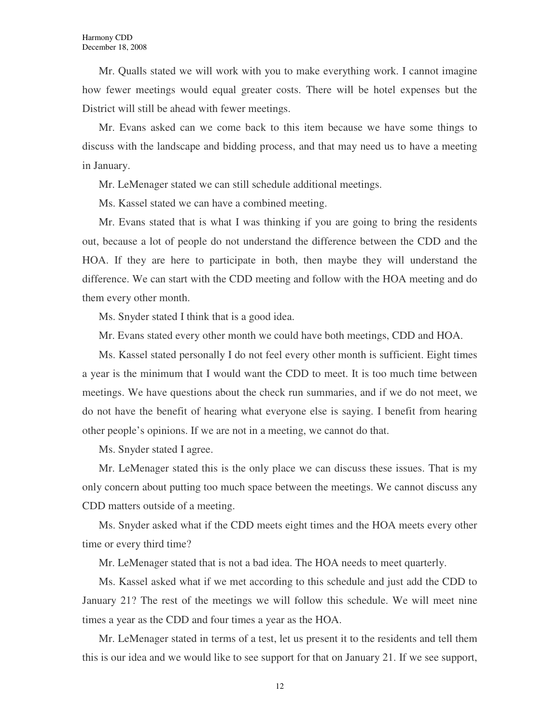Mr. Qualls stated we will work with you to make everything work. I cannot imagine how fewer meetings would equal greater costs. There will be hotel expenses but the District will still be ahead with fewer meetings.

Mr. Evans asked can we come back to this item because we have some things to discuss with the landscape and bidding process, and that may need us to have a meeting in January.

Mr. LeMenager stated we can still schedule additional meetings.

Ms. Kassel stated we can have a combined meeting.

Mr. Evans stated that is what I was thinking if you are going to bring the residents out, because a lot of people do not understand the difference between the CDD and the HOA. If they are here to participate in both, then maybe they will understand the difference. We can start with the CDD meeting and follow with the HOA meeting and do them every other month.

Ms. Snyder stated I think that is a good idea.

Mr. Evans stated every other month we could have both meetings, CDD and HOA.

Ms. Kassel stated personally I do not feel every other month is sufficient. Eight times a year is the minimum that I would want the CDD to meet. It is too much time between meetings. We have questions about the check run summaries, and if we do not meet, we do not have the benefit of hearing what everyone else is saying. I benefit from hearing other people's opinions. If we are not in a meeting, we cannot do that.

Ms. Snyder stated I agree.

Mr. LeMenager stated this is the only place we can discuss these issues. That is my only concern about putting too much space between the meetings. We cannot discuss any CDD matters outside of a meeting.

Ms. Snyder asked what if the CDD meets eight times and the HOA meets every other time or every third time?

Mr. LeMenager stated that is not a bad idea. The HOA needs to meet quarterly.

Ms. Kassel asked what if we met according to this schedule and just add the CDD to January 21? The rest of the meetings we will follow this schedule. We will meet nine times a year as the CDD and four times a year as the HOA.

Mr. LeMenager stated in terms of a test, let us present it to the residents and tell them this is our idea and we would like to see support for that on January 21. If we see support,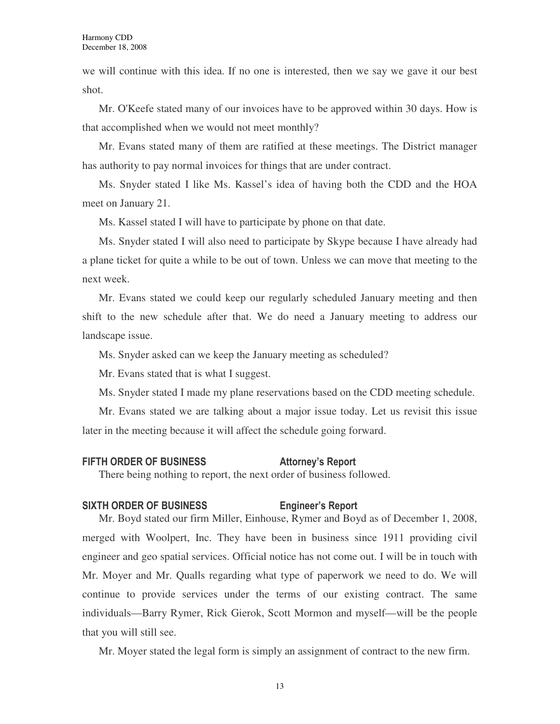we will continue with this idea. If no one is interested, then we say we gave it our best shot.

Mr. O'Keefe stated many of our invoices have to be approved within 30 days. How is that accomplished when we would not meet monthly?

Mr. Evans stated many of them are ratified at these meetings. The District manager has authority to pay normal invoices for things that are under contract.

Ms. Snyder stated I like Ms. Kassel's idea of having both the CDD and the HOA meet on January 21.

Ms. Kassel stated I will have to participate by phone on that date.

Ms. Snyder stated I will also need to participate by Skype because I have already had a plane ticket for quite a while to be out of town. Unless we can move that meeting to the next week.

Mr. Evans stated we could keep our regularly scheduled January meeting and then shift to the new schedule after that. We do need a January meeting to address our landscape issue.

Ms. Snyder asked can we keep the January meeting as scheduled?

Mr. Evans stated that is what I suggest.

Ms. Snyder stated I made my plane reservations based on the CDD meeting schedule.

Mr. Evans stated we are talking about a major issue today. Let us revisit this issue later in the meeting because it will affect the schedule going forward.

#### FIFTH ORDER OF BUSINESS Attorney's Report

There being nothing to report, the next order of business followed.

### SIXTH ORDER OF BUSINESS Engineer's Report

Mr. Boyd stated our firm Miller, Einhouse, Rymer and Boyd as of December 1, 2008, merged with Woolpert, Inc. They have been in business since 1911 providing civil engineer and geo spatial services. Official notice has not come out. I will be in touch with Mr. Moyer and Mr. Qualls regarding what type of paperwork we need to do. We will continue to provide services under the terms of our existing contract. The same individuals—Barry Rymer, Rick Gierok, Scott Mormon and myself—will be the people that you will still see.

Mr. Moyer stated the legal form is simply an assignment of contract to the new firm.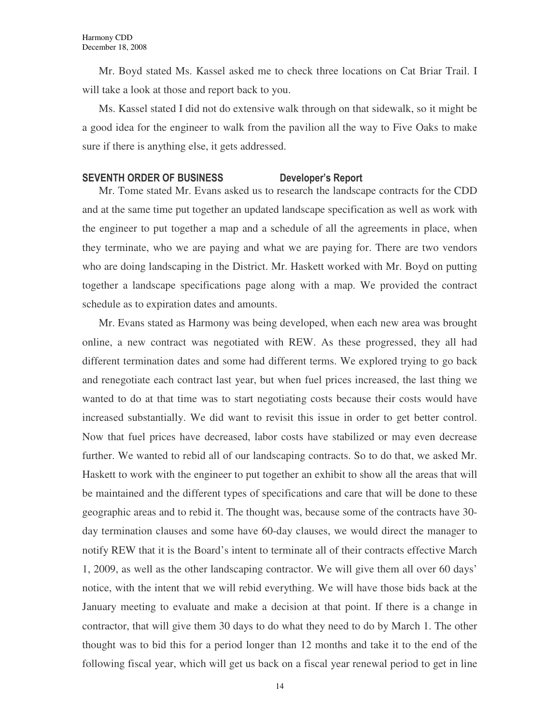Mr. Boyd stated Ms. Kassel asked me to check three locations on Cat Briar Trail. I will take a look at those and report back to you.

Ms. Kassel stated I did not do extensive walk through on that sidewalk, so it might be a good idea for the engineer to walk from the pavilion all the way to Five Oaks to make sure if there is anything else, it gets addressed.

### SEVENTH ORDER OF BUSINESS Developer's Report

Mr. Tome stated Mr. Evans asked us to research the landscape contracts for the CDD and at the same time put together an updated landscape specification as well as work with the engineer to put together a map and a schedule of all the agreements in place, when they terminate, who we are paying and what we are paying for. There are two vendors who are doing landscaping in the District. Mr. Haskett worked with Mr. Boyd on putting together a landscape specifications page along with a map. We provided the contract schedule as to expiration dates and amounts.

Mr. Evans stated as Harmony was being developed, when each new area was brought online, a new contract was negotiated with REW. As these progressed, they all had different termination dates and some had different terms. We explored trying to go back and renegotiate each contract last year, but when fuel prices increased, the last thing we wanted to do at that time was to start negotiating costs because their costs would have increased substantially. We did want to revisit this issue in order to get better control. Now that fuel prices have decreased, labor costs have stabilized or may even decrease further. We wanted to rebid all of our landscaping contracts. So to do that, we asked Mr. Haskett to work with the engineer to put together an exhibit to show all the areas that will be maintained and the different types of specifications and care that will be done to these geographic areas and to rebid it. The thought was, because some of the contracts have 30 day termination clauses and some have 60-day clauses, we would direct the manager to notify REW that it is the Board's intent to terminate all of their contracts effective March 1, 2009, as well as the other landscaping contractor. We will give them all over 60 days' notice, with the intent that we will rebid everything. We will have those bids back at the January meeting to evaluate and make a decision at that point. If there is a change in contractor, that will give them 30 days to do what they need to do by March 1. The other thought was to bid this for a period longer than 12 months and take it to the end of the following fiscal year, which will get us back on a fiscal year renewal period to get in line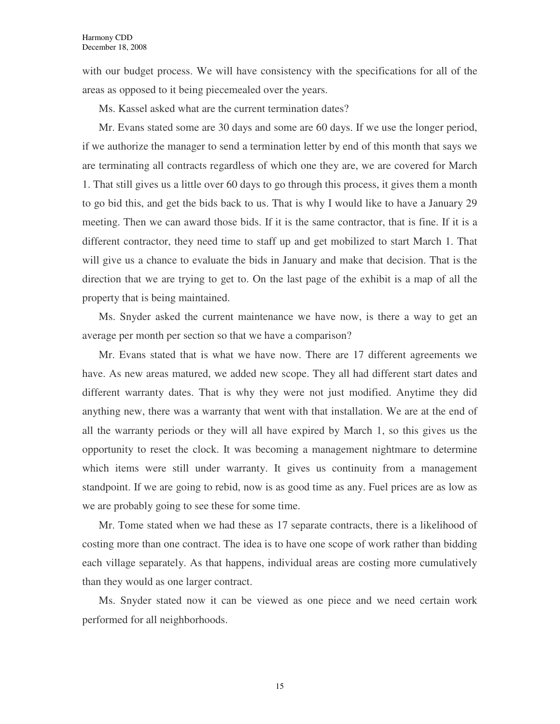with our budget process. We will have consistency with the specifications for all of the areas as opposed to it being piecemealed over the years.

Ms. Kassel asked what are the current termination dates?

Mr. Evans stated some are 30 days and some are 60 days. If we use the longer period, if we authorize the manager to send a termination letter by end of this month that says we are terminating all contracts regardless of which one they are, we are covered for March 1. That still gives us a little over 60 days to go through this process, it gives them a month to go bid this, and get the bids back to us. That is why I would like to have a January 29 meeting. Then we can award those bids. If it is the same contractor, that is fine. If it is a different contractor, they need time to staff up and get mobilized to start March 1. That will give us a chance to evaluate the bids in January and make that decision. That is the direction that we are trying to get to. On the last page of the exhibit is a map of all the property that is being maintained.

Ms. Snyder asked the current maintenance we have now, is there a way to get an average per month per section so that we have a comparison?

Mr. Evans stated that is what we have now. There are 17 different agreements we have. As new areas matured, we added new scope. They all had different start dates and different warranty dates. That is why they were not just modified. Anytime they did anything new, there was a warranty that went with that installation. We are at the end of all the warranty periods or they will all have expired by March 1, so this gives us the opportunity to reset the clock. It was becoming a management nightmare to determine which items were still under warranty. It gives us continuity from a management standpoint. If we are going to rebid, now is as good time as any. Fuel prices are as low as we are probably going to see these for some time.

Mr. Tome stated when we had these as 17 separate contracts, there is a likelihood of costing more than one contract. The idea is to have one scope of work rather than bidding each village separately. As that happens, individual areas are costing more cumulatively than they would as one larger contract.

Ms. Snyder stated now it can be viewed as one piece and we need certain work performed for all neighborhoods.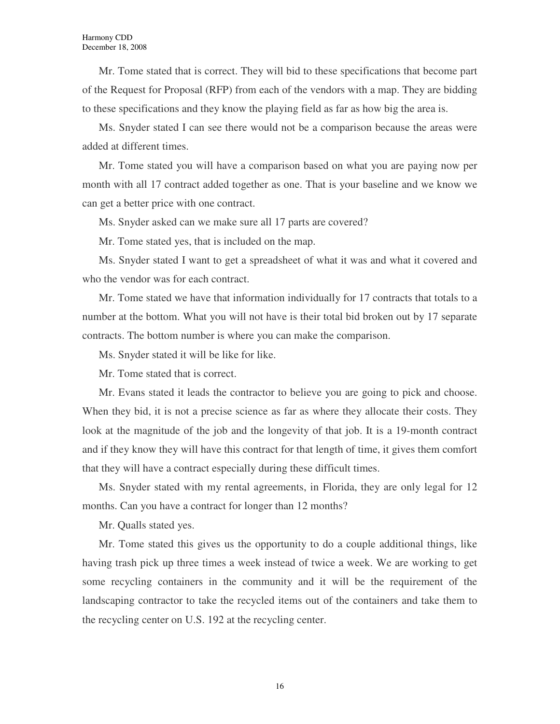Mr. Tome stated that is correct. They will bid to these specifications that become part of the Request for Proposal (RFP) from each of the vendors with a map. They are bidding to these specifications and they know the playing field as far as how big the area is.

Ms. Snyder stated I can see there would not be a comparison because the areas were added at different times.

Mr. Tome stated you will have a comparison based on what you are paying now per month with all 17 contract added together as one. That is your baseline and we know we can get a better price with one contract.

Ms. Snyder asked can we make sure all 17 parts are covered?

Mr. Tome stated yes, that is included on the map.

Ms. Snyder stated I want to get a spreadsheet of what it was and what it covered and who the vendor was for each contract.

Mr. Tome stated we have that information individually for 17 contracts that totals to a number at the bottom. What you will not have is their total bid broken out by 17 separate contracts. The bottom number is where you can make the comparison.

Ms. Snyder stated it will be like for like.

Mr. Tome stated that is correct.

Mr. Evans stated it leads the contractor to believe you are going to pick and choose. When they bid, it is not a precise science as far as where they allocate their costs. They look at the magnitude of the job and the longevity of that job. It is a 19-month contract and if they know they will have this contract for that length of time, it gives them comfort that they will have a contract especially during these difficult times.

Ms. Snyder stated with my rental agreements, in Florida, they are only legal for 12 months. Can you have a contract for longer than 12 months?

Mr. Qualls stated yes.

Mr. Tome stated this gives us the opportunity to do a couple additional things, like having trash pick up three times a week instead of twice a week. We are working to get some recycling containers in the community and it will be the requirement of the landscaping contractor to take the recycled items out of the containers and take them to the recycling center on U.S. 192 at the recycling center.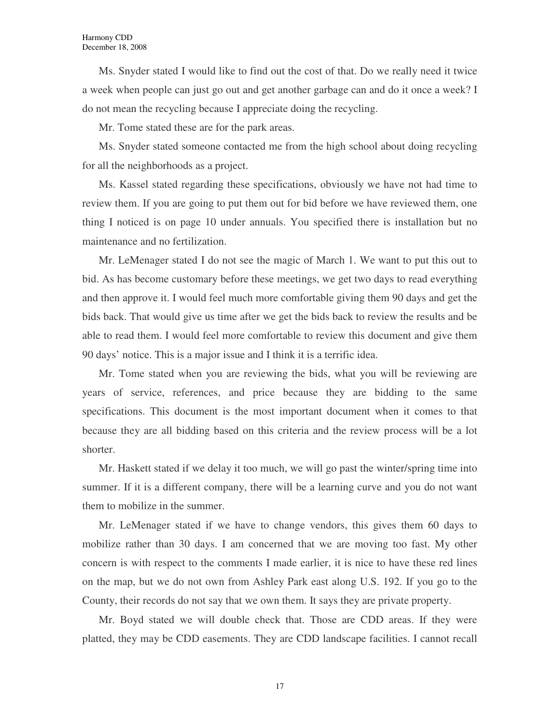Ms. Snyder stated I would like to find out the cost of that. Do we really need it twice a week when people can just go out and get another garbage can and do it once a week? I do not mean the recycling because I appreciate doing the recycling.

Mr. Tome stated these are for the park areas.

Ms. Snyder stated someone contacted me from the high school about doing recycling for all the neighborhoods as a project.

Ms. Kassel stated regarding these specifications, obviously we have not had time to review them. If you are going to put them out for bid before we have reviewed them, one thing I noticed is on page 10 under annuals. You specified there is installation but no maintenance and no fertilization.

Mr. LeMenager stated I do not see the magic of March 1. We want to put this out to bid. As has become customary before these meetings, we get two days to read everything and then approve it. I would feel much more comfortable giving them 90 days and get the bids back. That would give us time after we get the bids back to review the results and be able to read them. I would feel more comfortable to review this document and give them 90 days' notice. This is a major issue and I think it is a terrific idea.

Mr. Tome stated when you are reviewing the bids, what you will be reviewing are years of service, references, and price because they are bidding to the same specifications. This document is the most important document when it comes to that because they are all bidding based on this criteria and the review process will be a lot shorter.

Mr. Haskett stated if we delay it too much, we will go past the winter/spring time into summer. If it is a different company, there will be a learning curve and you do not want them to mobilize in the summer.

Mr. LeMenager stated if we have to change vendors, this gives them 60 days to mobilize rather than 30 days. I am concerned that we are moving too fast. My other concern is with respect to the comments I made earlier, it is nice to have these red lines on the map, but we do not own from Ashley Park east along U.S. 192. If you go to the County, their records do not say that we own them. It says they are private property.

Mr. Boyd stated we will double check that. Those are CDD areas. If they were platted, they may be CDD easements. They are CDD landscape facilities. I cannot recall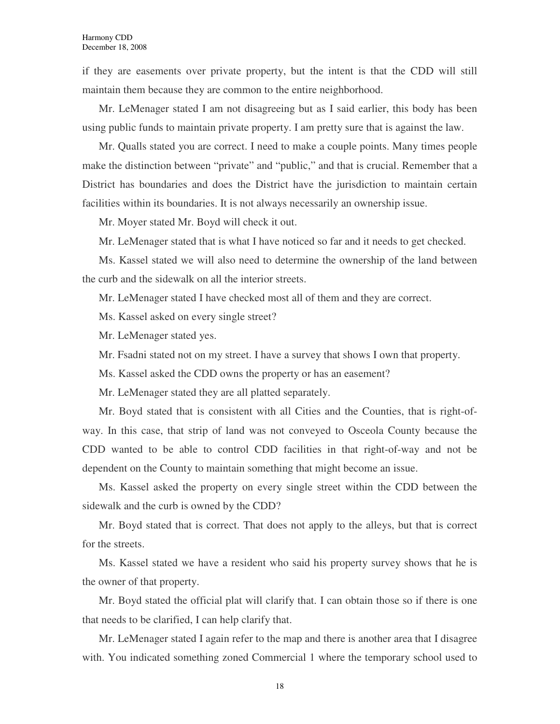if they are easements over private property, but the intent is that the CDD will still maintain them because they are common to the entire neighborhood.

Mr. LeMenager stated I am not disagreeing but as I said earlier, this body has been using public funds to maintain private property. I am pretty sure that is against the law.

Mr. Qualls stated you are correct. I need to make a couple points. Many times people make the distinction between "private" and "public," and that is crucial. Remember that a District has boundaries and does the District have the jurisdiction to maintain certain facilities within its boundaries. It is not always necessarily an ownership issue.

Mr. Moyer stated Mr. Boyd will check it out.

Mr. LeMenager stated that is what I have noticed so far and it needs to get checked.

Ms. Kassel stated we will also need to determine the ownership of the land between the curb and the sidewalk on all the interior streets.

Mr. LeMenager stated I have checked most all of them and they are correct.

Ms. Kassel asked on every single street?

Mr. LeMenager stated yes.

Mr. Fsadni stated not on my street. I have a survey that shows I own that property.

Ms. Kassel asked the CDD owns the property or has an easement?

Mr. LeMenager stated they are all platted separately.

Mr. Boyd stated that is consistent with all Cities and the Counties, that is right-ofway. In this case, that strip of land was not conveyed to Osceola County because the CDD wanted to be able to control CDD facilities in that right-of-way and not be dependent on the County to maintain something that might become an issue.

Ms. Kassel asked the property on every single street within the CDD between the sidewalk and the curb is owned by the CDD?

Mr. Boyd stated that is correct. That does not apply to the alleys, but that is correct for the streets.

Ms. Kassel stated we have a resident who said his property survey shows that he is the owner of that property.

Mr. Boyd stated the official plat will clarify that. I can obtain those so if there is one that needs to be clarified, I can help clarify that.

Mr. LeMenager stated I again refer to the map and there is another area that I disagree with. You indicated something zoned Commercial 1 where the temporary school used to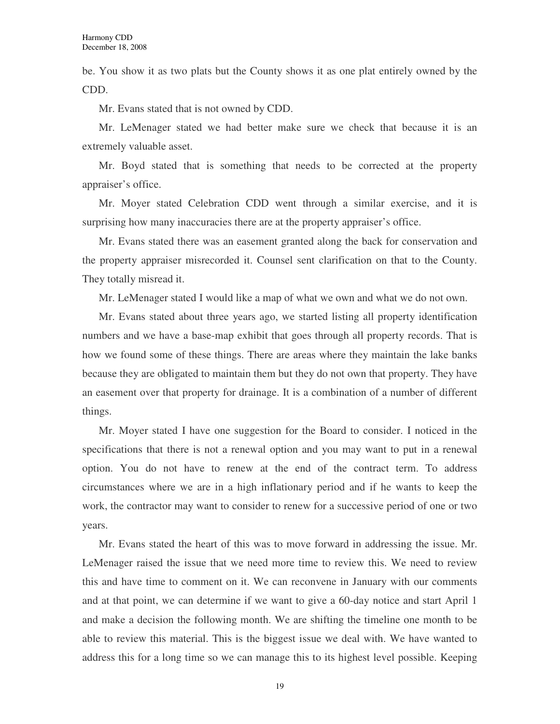be. You show it as two plats but the County shows it as one plat entirely owned by the CDD.

Mr. Evans stated that is not owned by CDD.

Mr. LeMenager stated we had better make sure we check that because it is an extremely valuable asset.

Mr. Boyd stated that is something that needs to be corrected at the property appraiser's office.

Mr. Moyer stated Celebration CDD went through a similar exercise, and it is surprising how many inaccuracies there are at the property appraiser's office.

Mr. Evans stated there was an easement granted along the back for conservation and the property appraiser misrecorded it. Counsel sent clarification on that to the County. They totally misread it.

Mr. LeMenager stated I would like a map of what we own and what we do not own.

Mr. Evans stated about three years ago, we started listing all property identification numbers and we have a base-map exhibit that goes through all property records. That is how we found some of these things. There are areas where they maintain the lake banks because they are obligated to maintain them but they do not own that property. They have an easement over that property for drainage. It is a combination of a number of different things.

Mr. Moyer stated I have one suggestion for the Board to consider. I noticed in the specifications that there is not a renewal option and you may want to put in a renewal option. You do not have to renew at the end of the contract term. To address circumstances where we are in a high inflationary period and if he wants to keep the work, the contractor may want to consider to renew for a successive period of one or two years.

Mr. Evans stated the heart of this was to move forward in addressing the issue. Mr. LeMenager raised the issue that we need more time to review this. We need to review this and have time to comment on it. We can reconvene in January with our comments and at that point, we can determine if we want to give a 60-day notice and start April 1 and make a decision the following month. We are shifting the timeline one month to be able to review this material. This is the biggest issue we deal with. We have wanted to address this for a long time so we can manage this to its highest level possible. Keeping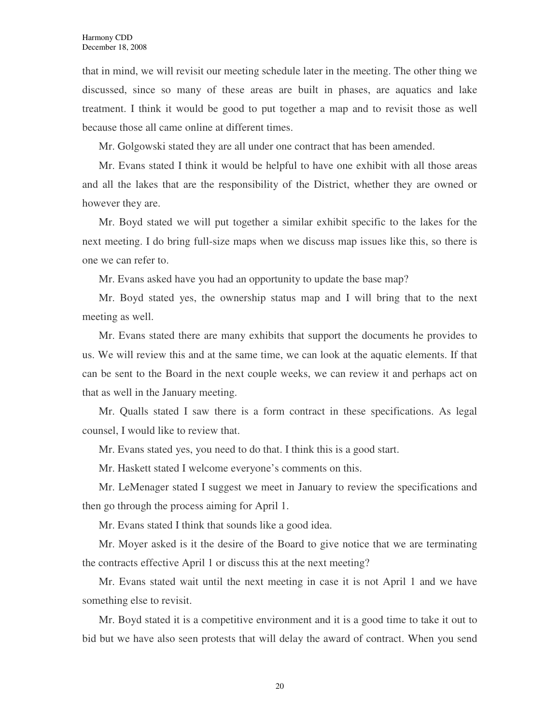that in mind, we will revisit our meeting schedule later in the meeting. The other thing we discussed, since so many of these areas are built in phases, are aquatics and lake treatment. I think it would be good to put together a map and to revisit those as well because those all came online at different times.

Mr. Golgowski stated they are all under one contract that has been amended.

Mr. Evans stated I think it would be helpful to have one exhibit with all those areas and all the lakes that are the responsibility of the District, whether they are owned or however they are.

Mr. Boyd stated we will put together a similar exhibit specific to the lakes for the next meeting. I do bring full-size maps when we discuss map issues like this, so there is one we can refer to.

Mr. Evans asked have you had an opportunity to update the base map?

Mr. Boyd stated yes, the ownership status map and I will bring that to the next meeting as well.

Mr. Evans stated there are many exhibits that support the documents he provides to us. We will review this and at the same time, we can look at the aquatic elements. If that can be sent to the Board in the next couple weeks, we can review it and perhaps act on that as well in the January meeting.

Mr. Qualls stated I saw there is a form contract in these specifications. As legal counsel, I would like to review that.

Mr. Evans stated yes, you need to do that. I think this is a good start.

Mr. Haskett stated I welcome everyone's comments on this.

Mr. LeMenager stated I suggest we meet in January to review the specifications and then go through the process aiming for April 1.

Mr. Evans stated I think that sounds like a good idea.

Mr. Moyer asked is it the desire of the Board to give notice that we are terminating the contracts effective April 1 or discuss this at the next meeting?

Mr. Evans stated wait until the next meeting in case it is not April 1 and we have something else to revisit.

Mr. Boyd stated it is a competitive environment and it is a good time to take it out to bid but we have also seen protests that will delay the award of contract. When you send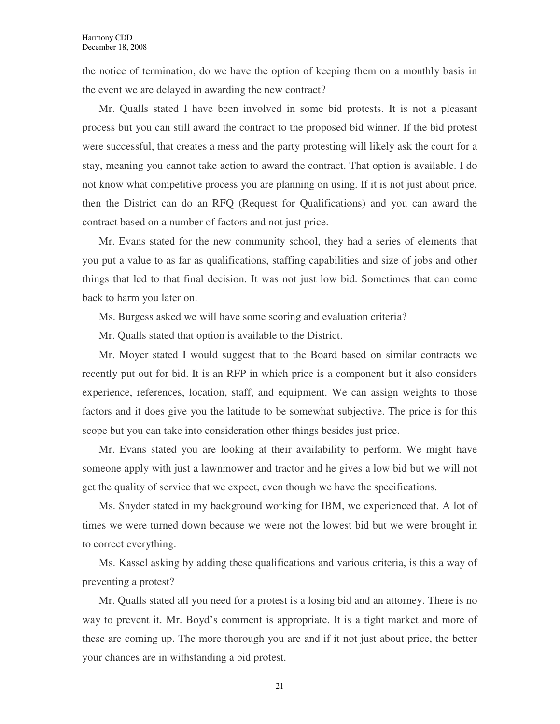the notice of termination, do we have the option of keeping them on a monthly basis in the event we are delayed in awarding the new contract?

Mr. Qualls stated I have been involved in some bid protests. It is not a pleasant process but you can still award the contract to the proposed bid winner. If the bid protest were successful, that creates a mess and the party protesting will likely ask the court for a stay, meaning you cannot take action to award the contract. That option is available. I do not know what competitive process you are planning on using. If it is not just about price, then the District can do an RFQ (Request for Qualifications) and you can award the contract based on a number of factors and not just price.

Mr. Evans stated for the new community school, they had a series of elements that you put a value to as far as qualifications, staffing capabilities and size of jobs and other things that led to that final decision. It was not just low bid. Sometimes that can come back to harm you later on.

Ms. Burgess asked we will have some scoring and evaluation criteria?

Mr. Qualls stated that option is available to the District.

Mr. Moyer stated I would suggest that to the Board based on similar contracts we recently put out for bid. It is an RFP in which price is a component but it also considers experience, references, location, staff, and equipment. We can assign weights to those factors and it does give you the latitude to be somewhat subjective. The price is for this scope but you can take into consideration other things besides just price.

Mr. Evans stated you are looking at their availability to perform. We might have someone apply with just a lawnmower and tractor and he gives a low bid but we will not get the quality of service that we expect, even though we have the specifications.

Ms. Snyder stated in my background working for IBM, we experienced that. A lot of times we were turned down because we were not the lowest bid but we were brought in to correct everything.

Ms. Kassel asking by adding these qualifications and various criteria, is this a way of preventing a protest?

Mr. Qualls stated all you need for a protest is a losing bid and an attorney. There is no way to prevent it. Mr. Boyd's comment is appropriate. It is a tight market and more of these are coming up. The more thorough you are and if it not just about price, the better your chances are in withstanding a bid protest.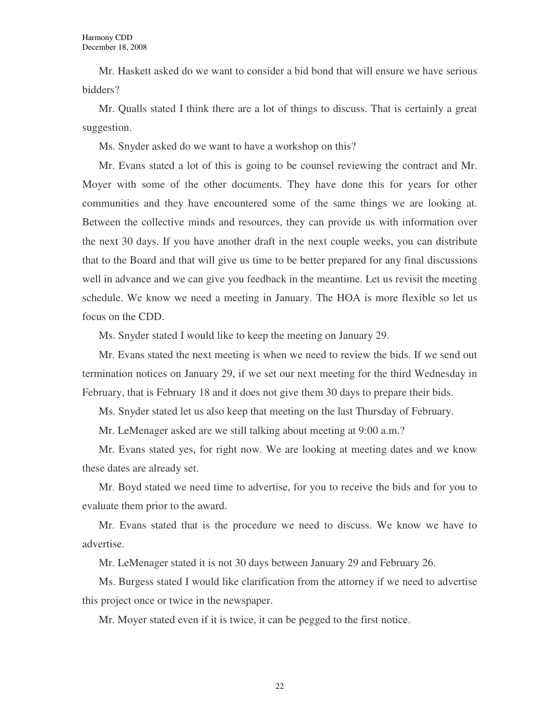Mr. Haskett asked do we want to consider a bid bond that will ensure we have serious bidders?

Mr. Qualls stated I think there are a lot of things to discuss. That is certainly a great suggestion.

Ms. Snyder asked do we want to have a workshop on this?

Mr. Evans stated a lot of this is going to be counsel reviewing the contract and Mr. Moyer with some of the other documents. They have done this for years for other communities and they have encountered some of the same things we are looking at. Between the collective minds and resources, they can provide us with information over the next 30 days. If you have another draft in the next couple weeks, you can distribute that to the Board and that will give us time to be better prepared for any final discussions well in advance and we can give you feedback in the meantime. Let us revisit the meeting schedule. We know we need a meeting in January. The HOA is more flexible so let us focus on the CDD.

Ms. Snyder stated I would like to keep the meeting on January 29.

Mr. Evans stated the next meeting is when we need to review the bids. If we send out termination notices on January 29, if we set our next meeting for the third Wednesday in February, that is February 18 and it does not give them 30 days to prepare their bids.

Ms. Snyder stated let us also keep that meeting on the last Thursday of February.

Mr. LeMenager asked are we still talking about meeting at 9:00 a.m.?

Mr. Evans stated yes, for right now. We are looking at meeting dates and we know these dates are already set.

Mr. Boyd stated we need time to advertise, for you to receive the bids and for you to evaluate them prior to the award.

Mr. Evans stated that is the procedure we need to discuss. We know we have to advertise.

Mr. LeMenager stated it is not 30 days between January 29 and February 26.

Ms. Burgess stated I would like clarification from the attorney if we need to advertise this project once or twice in the newspaper.

Mr. Moyer stated even if it is twice, it can be pegged to the first notice.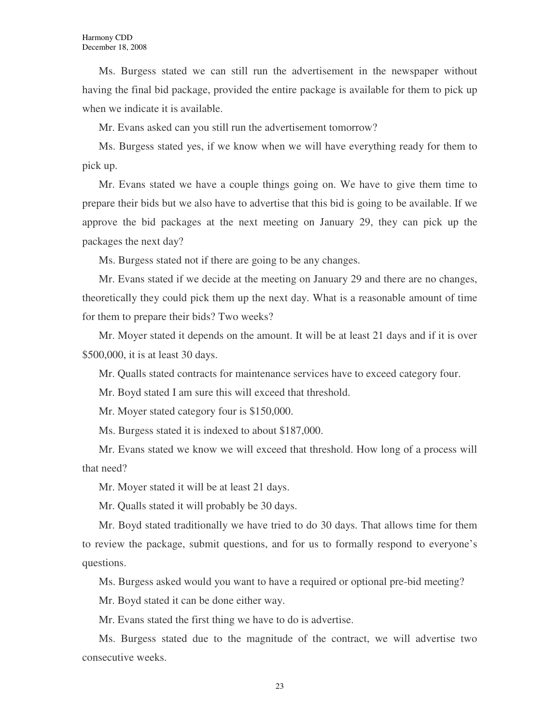Ms. Burgess stated we can still run the advertisement in the newspaper without having the final bid package, provided the entire package is available for them to pick up when we indicate it is available.

Mr. Evans asked can you still run the advertisement tomorrow?

Ms. Burgess stated yes, if we know when we will have everything ready for them to pick up.

Mr. Evans stated we have a couple things going on. We have to give them time to prepare their bids but we also have to advertise that this bid is going to be available. If we approve the bid packages at the next meeting on January 29, they can pick up the packages the next day?

Ms. Burgess stated not if there are going to be any changes.

Mr. Evans stated if we decide at the meeting on January 29 and there are no changes, theoretically they could pick them up the next day. What is a reasonable amount of time for them to prepare their bids? Two weeks?

Mr. Moyer stated it depends on the amount. It will be at least 21 days and if it is over \$500,000, it is at least 30 days.

Mr. Qualls stated contracts for maintenance services have to exceed category four.

Mr. Boyd stated I am sure this will exceed that threshold.

Mr. Moyer stated category four is \$150,000.

Ms. Burgess stated it is indexed to about \$187,000.

Mr. Evans stated we know we will exceed that threshold. How long of a process will that need?

Mr. Moyer stated it will be at least 21 days.

Mr. Qualls stated it will probably be 30 days.

Mr. Boyd stated traditionally we have tried to do 30 days. That allows time for them to review the package, submit questions, and for us to formally respond to everyone's questions.

Ms. Burgess asked would you want to have a required or optional pre-bid meeting?

Mr. Boyd stated it can be done either way.

Mr. Evans stated the first thing we have to do is advertise.

Ms. Burgess stated due to the magnitude of the contract, we will advertise two consecutive weeks.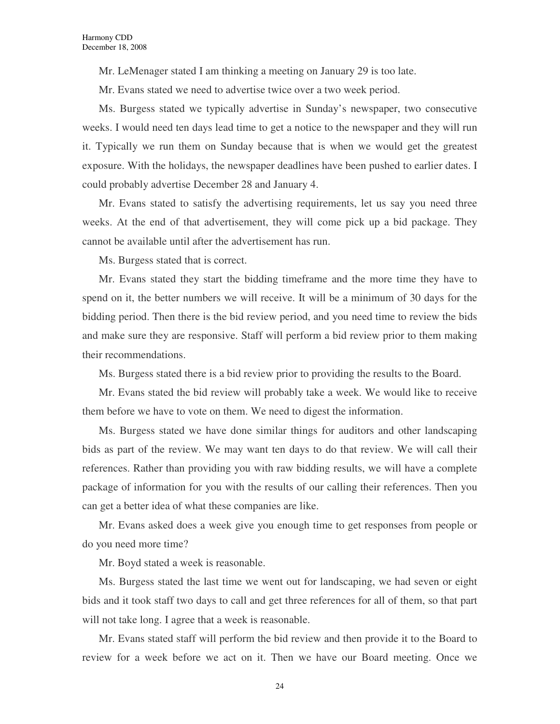Mr. LeMenager stated I am thinking a meeting on January 29 is too late.

Mr. Evans stated we need to advertise twice over a two week period.

Ms. Burgess stated we typically advertise in Sunday's newspaper, two consecutive weeks. I would need ten days lead time to get a notice to the newspaper and they will run it. Typically we run them on Sunday because that is when we would get the greatest exposure. With the holidays, the newspaper deadlines have been pushed to earlier dates. I could probably advertise December 28 and January 4.

Mr. Evans stated to satisfy the advertising requirements, let us say you need three weeks. At the end of that advertisement, they will come pick up a bid package. They cannot be available until after the advertisement has run.

Ms. Burgess stated that is correct.

Mr. Evans stated they start the bidding timeframe and the more time they have to spend on it, the better numbers we will receive. It will be a minimum of 30 days for the bidding period. Then there is the bid review period, and you need time to review the bids and make sure they are responsive. Staff will perform a bid review prior to them making their recommendations.

Ms. Burgess stated there is a bid review prior to providing the results to the Board.

Mr. Evans stated the bid review will probably take a week. We would like to receive them before we have to vote on them. We need to digest the information.

Ms. Burgess stated we have done similar things for auditors and other landscaping bids as part of the review. We may want ten days to do that review. We will call their references. Rather than providing you with raw bidding results, we will have a complete package of information for you with the results of our calling their references. Then you can get a better idea of what these companies are like.

Mr. Evans asked does a week give you enough time to get responses from people or do you need more time?

Mr. Boyd stated a week is reasonable.

Ms. Burgess stated the last time we went out for landscaping, we had seven or eight bids and it took staff two days to call and get three references for all of them, so that part will not take long. I agree that a week is reasonable.

Mr. Evans stated staff will perform the bid review and then provide it to the Board to review for a week before we act on it. Then we have our Board meeting. Once we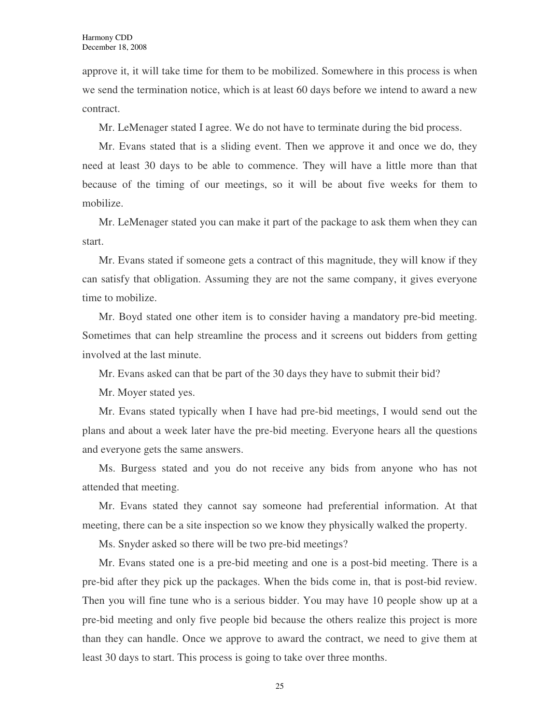approve it, it will take time for them to be mobilized. Somewhere in this process is when we send the termination notice, which is at least 60 days before we intend to award a new contract.

Mr. LeMenager stated I agree. We do not have to terminate during the bid process.

Mr. Evans stated that is a sliding event. Then we approve it and once we do, they need at least 30 days to be able to commence. They will have a little more than that because of the timing of our meetings, so it will be about five weeks for them to mobilize.

Mr. LeMenager stated you can make it part of the package to ask them when they can start.

Mr. Evans stated if someone gets a contract of this magnitude, they will know if they can satisfy that obligation. Assuming they are not the same company, it gives everyone time to mobilize.

Mr. Boyd stated one other item is to consider having a mandatory pre-bid meeting. Sometimes that can help streamline the process and it screens out bidders from getting involved at the last minute.

Mr. Evans asked can that be part of the 30 days they have to submit their bid?

Mr. Moyer stated yes.

Mr. Evans stated typically when I have had pre-bid meetings, I would send out the plans and about a week later have the pre-bid meeting. Everyone hears all the questions and everyone gets the same answers.

Ms. Burgess stated and you do not receive any bids from anyone who has not attended that meeting.

Mr. Evans stated they cannot say someone had preferential information. At that meeting, there can be a site inspection so we know they physically walked the property.

Ms. Snyder asked so there will be two pre-bid meetings?

Mr. Evans stated one is a pre-bid meeting and one is a post-bid meeting. There is a pre-bid after they pick up the packages. When the bids come in, that is post-bid review. Then you will fine tune who is a serious bidder. You may have 10 people show up at a pre-bid meeting and only five people bid because the others realize this project is more than they can handle. Once we approve to award the contract, we need to give them at least 30 days to start. This process is going to take over three months.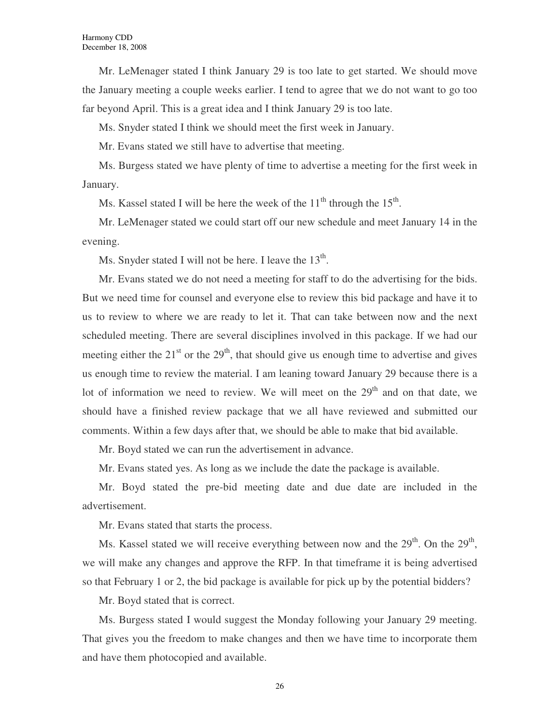Mr. LeMenager stated I think January 29 is too late to get started. We should move the January meeting a couple weeks earlier. I tend to agree that we do not want to go too far beyond April. This is a great idea and I think January 29 is too late.

Ms. Snyder stated I think we should meet the first week in January.

Mr. Evans stated we still have to advertise that meeting.

Ms. Burgess stated we have plenty of time to advertise a meeting for the first week in January.

Ms. Kassel stated I will be here the week of the  $11<sup>th</sup>$  through the  $15<sup>th</sup>$ .

Mr. LeMenager stated we could start off our new schedule and meet January 14 in the evening.

Ms. Snyder stated I will not be here. I leave the  $13<sup>th</sup>$ .

Mr. Evans stated we do not need a meeting for staff to do the advertising for the bids. But we need time for counsel and everyone else to review this bid package and have it to us to review to where we are ready to let it. That can take between now and the next scheduled meeting. There are several disciplines involved in this package. If we had our meeting either the  $21<sup>st</sup>$  or the  $29<sup>th</sup>$ , that should give us enough time to advertise and gives us enough time to review the material. I am leaning toward January 29 because there is a lot of information we need to review. We will meet on the  $29<sup>th</sup>$  and on that date, we should have a finished review package that we all have reviewed and submitted our comments. Within a few days after that, we should be able to make that bid available.

Mr. Boyd stated we can run the advertisement in advance.

Mr. Evans stated yes. As long as we include the date the package is available.

Mr. Boyd stated the pre-bid meeting date and due date are included in the advertisement.

Mr. Evans stated that starts the process.

Ms. Kassel stated we will receive everything between now and the  $29<sup>th</sup>$ . On the  $29<sup>th</sup>$ , we will make any changes and approve the RFP. In that timeframe it is being advertised so that February 1 or 2, the bid package is available for pick up by the potential bidders?

Mr. Boyd stated that is correct.

Ms. Burgess stated I would suggest the Monday following your January 29 meeting. That gives you the freedom to make changes and then we have time to incorporate them and have them photocopied and available.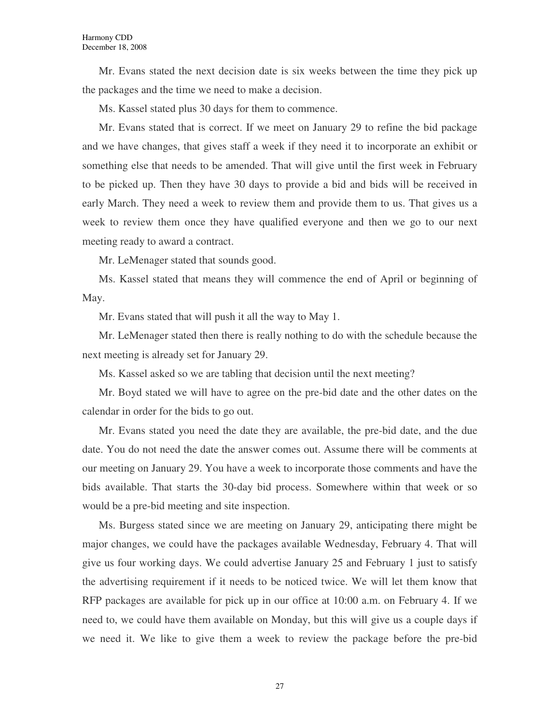Mr. Evans stated the next decision date is six weeks between the time they pick up the packages and the time we need to make a decision.

Ms. Kassel stated plus 30 days for them to commence.

Mr. Evans stated that is correct. If we meet on January 29 to refine the bid package and we have changes, that gives staff a week if they need it to incorporate an exhibit or something else that needs to be amended. That will give until the first week in February to be picked up. Then they have 30 days to provide a bid and bids will be received in early March. They need a week to review them and provide them to us. That gives us a week to review them once they have qualified everyone and then we go to our next meeting ready to award a contract.

Mr. LeMenager stated that sounds good.

Ms. Kassel stated that means they will commence the end of April or beginning of May.

Mr. Evans stated that will push it all the way to May 1.

Mr. LeMenager stated then there is really nothing to do with the schedule because the next meeting is already set for January 29.

Ms. Kassel asked so we are tabling that decision until the next meeting?

Mr. Boyd stated we will have to agree on the pre-bid date and the other dates on the calendar in order for the bids to go out.

Mr. Evans stated you need the date they are available, the pre-bid date, and the due date. You do not need the date the answer comes out. Assume there will be comments at our meeting on January 29. You have a week to incorporate those comments and have the bids available. That starts the 30-day bid process. Somewhere within that week or so would be a pre-bid meeting and site inspection.

Ms. Burgess stated since we are meeting on January 29, anticipating there might be major changes, we could have the packages available Wednesday, February 4. That will give us four working days. We could advertise January 25 and February 1 just to satisfy the advertising requirement if it needs to be noticed twice. We will let them know that RFP packages are available for pick up in our office at 10:00 a.m. on February 4. If we need to, we could have them available on Monday, but this will give us a couple days if we need it. We like to give them a week to review the package before the pre-bid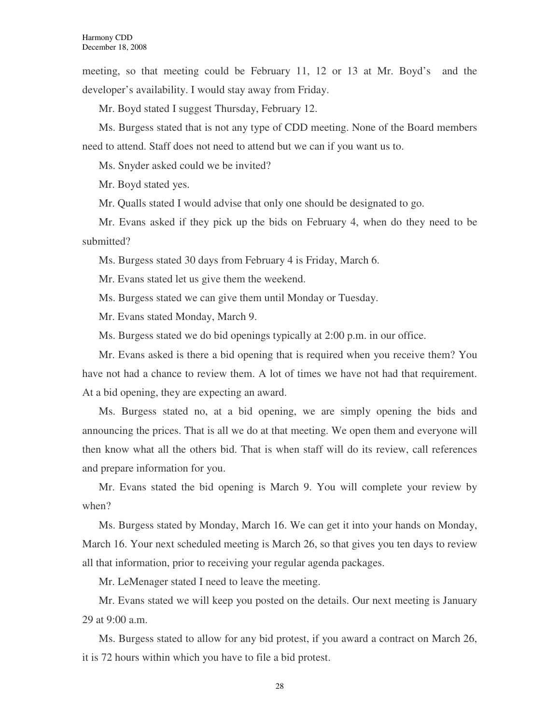meeting, so that meeting could be February 11, 12 or 13 at Mr. Boyd's and the developer's availability. I would stay away from Friday.

Mr. Boyd stated I suggest Thursday, February 12.

Ms. Burgess stated that is not any type of CDD meeting. None of the Board members need to attend. Staff does not need to attend but we can if you want us to.

Ms. Snyder asked could we be invited?

Mr. Boyd stated yes.

Mr. Qualls stated I would advise that only one should be designated to go.

Mr. Evans asked if they pick up the bids on February 4, when do they need to be submitted?

Ms. Burgess stated 30 days from February 4 is Friday, March 6.

Mr. Evans stated let us give them the weekend.

Ms. Burgess stated we can give them until Monday or Tuesday.

Mr. Evans stated Monday, March 9.

Ms. Burgess stated we do bid openings typically at 2:00 p.m. in our office.

Mr. Evans asked is there a bid opening that is required when you receive them? You have not had a chance to review them. A lot of times we have not had that requirement. At a bid opening, they are expecting an award.

Ms. Burgess stated no, at a bid opening, we are simply opening the bids and announcing the prices. That is all we do at that meeting. We open them and everyone will then know what all the others bid. That is when staff will do its review, call references and prepare information for you.

Mr. Evans stated the bid opening is March 9. You will complete your review by when?

Ms. Burgess stated by Monday, March 16. We can get it into your hands on Monday, March 16. Your next scheduled meeting is March 26, so that gives you ten days to review all that information, prior to receiving your regular agenda packages.

Mr. LeMenager stated I need to leave the meeting.

Mr. Evans stated we will keep you posted on the details. Our next meeting is January 29 at 9:00 a.m.

Ms. Burgess stated to allow for any bid protest, if you award a contract on March 26, it is 72 hours within which you have to file a bid protest.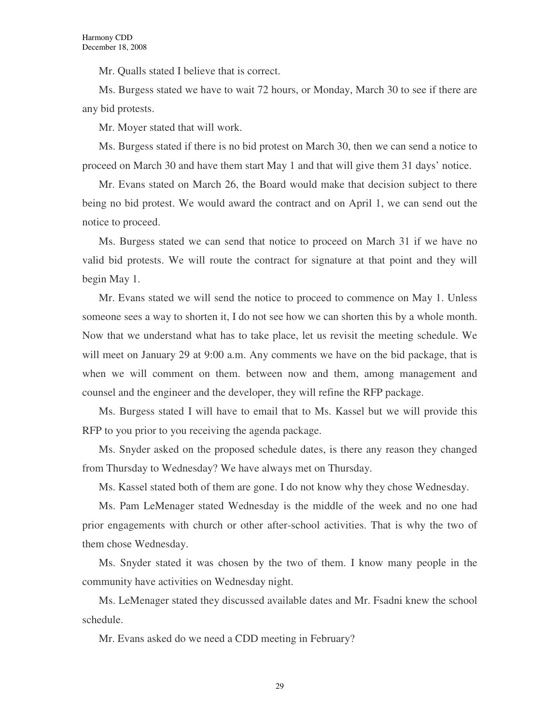Mr. Qualls stated I believe that is correct.

Ms. Burgess stated we have to wait 72 hours, or Monday, March 30 to see if there are any bid protests.

Mr. Moyer stated that will work.

Ms. Burgess stated if there is no bid protest on March 30, then we can send a notice to proceed on March 30 and have them start May 1 and that will give them 31 days' notice.

Mr. Evans stated on March 26, the Board would make that decision subject to there being no bid protest. We would award the contract and on April 1, we can send out the notice to proceed.

Ms. Burgess stated we can send that notice to proceed on March 31 if we have no valid bid protests. We will route the contract for signature at that point and they will begin May 1.

Mr. Evans stated we will send the notice to proceed to commence on May 1. Unless someone sees a way to shorten it, I do not see how we can shorten this by a whole month. Now that we understand what has to take place, let us revisit the meeting schedule. We will meet on January 29 at 9:00 a.m. Any comments we have on the bid package, that is when we will comment on them. between now and them, among management and counsel and the engineer and the developer, they will refine the RFP package.

Ms. Burgess stated I will have to email that to Ms. Kassel but we will provide this RFP to you prior to you receiving the agenda package.

Ms. Snyder asked on the proposed schedule dates, is there any reason they changed from Thursday to Wednesday? We have always met on Thursday.

Ms. Kassel stated both of them are gone. I do not know why they chose Wednesday.

Ms. Pam LeMenager stated Wednesday is the middle of the week and no one had prior engagements with church or other after-school activities. That is why the two of them chose Wednesday.

Ms. Snyder stated it was chosen by the two of them. I know many people in the community have activities on Wednesday night.

Ms. LeMenager stated they discussed available dates and Mr. Fsadni knew the school schedule.

Mr. Evans asked do we need a CDD meeting in February?

29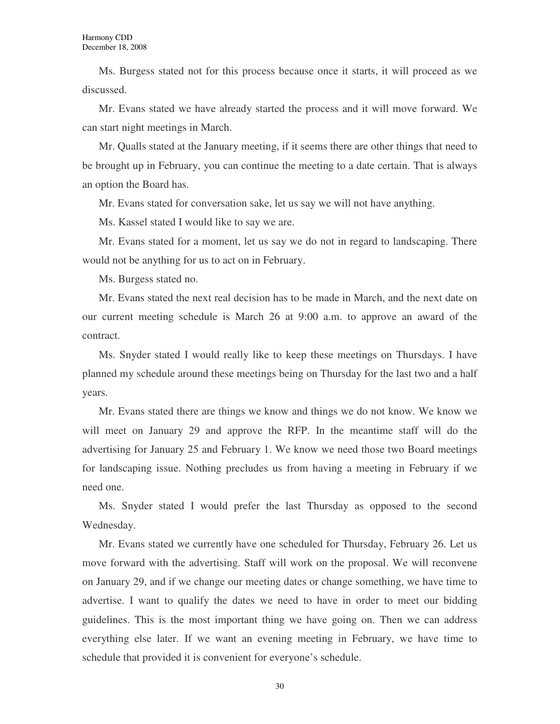Ms. Burgess stated not for this process because once it starts, it will proceed as we discussed.

Mr. Evans stated we have already started the process and it will move forward. We can start night meetings in March.

Mr. Qualls stated at the January meeting, if it seems there are other things that need to be brought up in February, you can continue the meeting to a date certain. That is always an option the Board has.

Mr. Evans stated for conversation sake, let us say we will not have anything.

Ms. Kassel stated I would like to say we are.

Mr. Evans stated for a moment, let us say we do not in regard to landscaping. There would not be anything for us to act on in February.

Ms. Burgess stated no.

Mr. Evans stated the next real decision has to be made in March, and the next date on our current meeting schedule is March 26 at 9:00 a.m. to approve an award of the contract.

Ms. Snyder stated I would really like to keep these meetings on Thursdays. I have planned my schedule around these meetings being on Thursday for the last two and a half years.

Mr. Evans stated there are things we know and things we do not know. We know we will meet on January 29 and approve the RFP. In the meantime staff will do the advertising for January 25 and February 1. We know we need those two Board meetings for landscaping issue. Nothing precludes us from having a meeting in February if we need one.

Ms. Snyder stated I would prefer the last Thursday as opposed to the second Wednesday.

Mr. Evans stated we currently have one scheduled for Thursday, February 26. Let us move forward with the advertising. Staff will work on the proposal. We will reconvene on January 29, and if we change our meeting dates or change something, we have time to advertise. I want to qualify the dates we need to have in order to meet our bidding guidelines. This is the most important thing we have going on. Then we can address everything else later. If we want an evening meeting in February, we have time to schedule that provided it is convenient for everyone's schedule.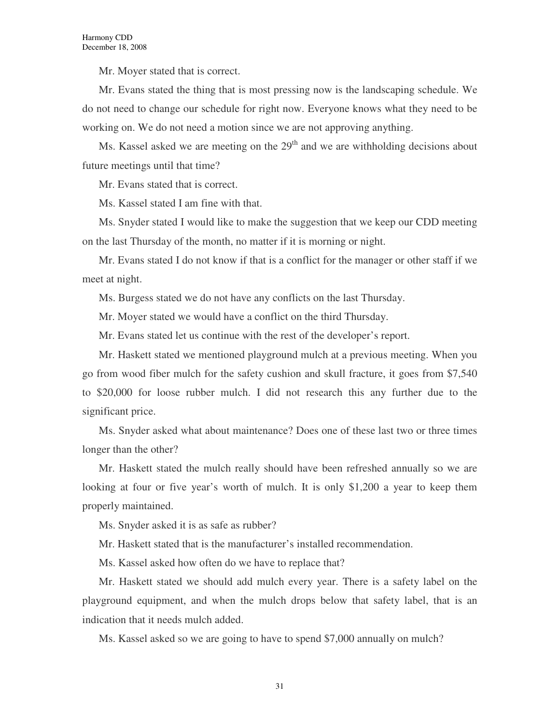Mr. Moyer stated that is correct.

Mr. Evans stated the thing that is most pressing now is the landscaping schedule. We do not need to change our schedule for right now. Everyone knows what they need to be working on. We do not need a motion since we are not approving anything.

Ms. Kassel asked we are meeting on the  $29<sup>th</sup>$  and we are withholding decisions about future meetings until that time?

Mr. Evans stated that is correct.

Ms. Kassel stated I am fine with that.

Ms. Snyder stated I would like to make the suggestion that we keep our CDD meeting on the last Thursday of the month, no matter if it is morning or night.

Mr. Evans stated I do not know if that is a conflict for the manager or other staff if we meet at night.

Ms. Burgess stated we do not have any conflicts on the last Thursday.

Mr. Moyer stated we would have a conflict on the third Thursday.

Mr. Evans stated let us continue with the rest of the developer's report.

Mr. Haskett stated we mentioned playground mulch at a previous meeting. When you go from wood fiber mulch for the safety cushion and skull fracture, it goes from \$7,540 to \$20,000 for loose rubber mulch. I did not research this any further due to the significant price.

Ms. Snyder asked what about maintenance? Does one of these last two or three times longer than the other?

Mr. Haskett stated the mulch really should have been refreshed annually so we are looking at four or five year's worth of mulch. It is only \$1,200 a year to keep them properly maintained.

Ms. Snyder asked it is as safe as rubber?

Mr. Haskett stated that is the manufacturer's installed recommendation.

Ms. Kassel asked how often do we have to replace that?

Mr. Haskett stated we should add mulch every year. There is a safety label on the playground equipment, and when the mulch drops below that safety label, that is an indication that it needs mulch added.

Ms. Kassel asked so we are going to have to spend \$7,000 annually on mulch?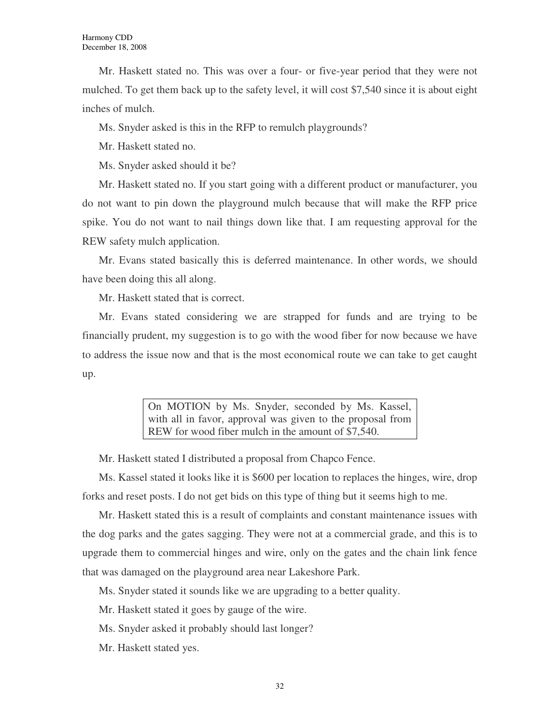Mr. Haskett stated no. This was over a four- or five-year period that they were not mulched. To get them back up to the safety level, it will cost \$7,540 since it is about eight inches of mulch.

Ms. Snyder asked is this in the RFP to remulch playgrounds?

Mr. Haskett stated no.

Ms. Snyder asked should it be?

Mr. Haskett stated no. If you start going with a different product or manufacturer, you do not want to pin down the playground mulch because that will make the RFP price spike. You do not want to nail things down like that. I am requesting approval for the REW safety mulch application.

Mr. Evans stated basically this is deferred maintenance. In other words, we should have been doing this all along.

Mr. Haskett stated that is correct.

Mr. Evans stated considering we are strapped for funds and are trying to be financially prudent, my suggestion is to go with the wood fiber for now because we have to address the issue now and that is the most economical route we can take to get caught up.

> On MOTION by Ms. Snyder, seconded by Ms. Kassel, with all in favor, approval was given to the proposal from REW for wood fiber mulch in the amount of \$7,540.

Mr. Haskett stated I distributed a proposal from Chapco Fence.

Ms. Kassel stated it looks like it is \$600 per location to replaces the hinges, wire, drop forks and reset posts. I do not get bids on this type of thing but it seems high to me.

Mr. Haskett stated this is a result of complaints and constant maintenance issues with the dog parks and the gates sagging. They were not at a commercial grade, and this is to upgrade them to commercial hinges and wire, only on the gates and the chain link fence that was damaged on the playground area near Lakeshore Park.

Ms. Snyder stated it sounds like we are upgrading to a better quality.

Mr. Haskett stated it goes by gauge of the wire.

Ms. Snyder asked it probably should last longer?

Mr. Haskett stated yes.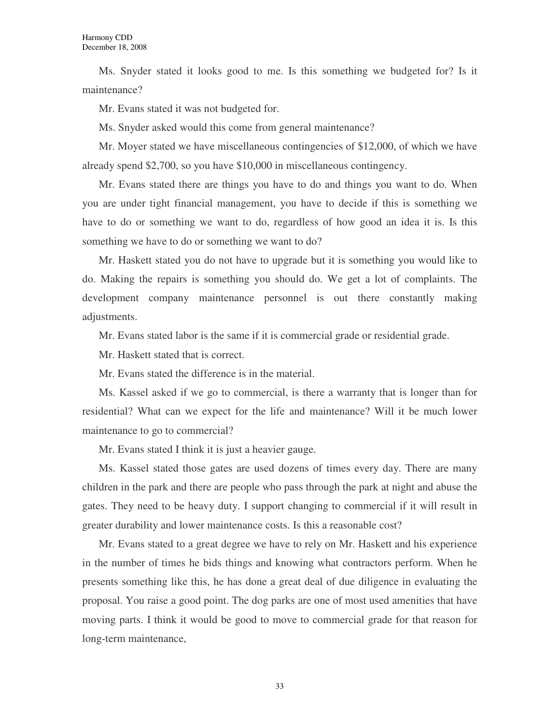Ms. Snyder stated it looks good to me. Is this something we budgeted for? Is it maintenance?

Mr. Evans stated it was not budgeted for.

Ms. Snyder asked would this come from general maintenance?

Mr. Moyer stated we have miscellaneous contingencies of \$12,000, of which we have already spend \$2,700, so you have \$10,000 in miscellaneous contingency.

Mr. Evans stated there are things you have to do and things you want to do. When you are under tight financial management, you have to decide if this is something we have to do or something we want to do, regardless of how good an idea it is. Is this something we have to do or something we want to do?

Mr. Haskett stated you do not have to upgrade but it is something you would like to do. Making the repairs is something you should do. We get a lot of complaints. The development company maintenance personnel is out there constantly making adjustments.

Mr. Evans stated labor is the same if it is commercial grade or residential grade.

Mr. Haskett stated that is correct.

Mr. Evans stated the difference is in the material.

Ms. Kassel asked if we go to commercial, is there a warranty that is longer than for residential? What can we expect for the life and maintenance? Will it be much lower maintenance to go to commercial?

Mr. Evans stated I think it is just a heavier gauge.

Ms. Kassel stated those gates are used dozens of times every day. There are many children in the park and there are people who pass through the park at night and abuse the gates. They need to be heavy duty. I support changing to commercial if it will result in greater durability and lower maintenance costs. Is this a reasonable cost?

Mr. Evans stated to a great degree we have to rely on Mr. Haskett and his experience in the number of times he bids things and knowing what contractors perform. When he presents something like this, he has done a great deal of due diligence in evaluating the proposal. You raise a good point. The dog parks are one of most used amenities that have moving parts. I think it would be good to move to commercial grade for that reason for long-term maintenance,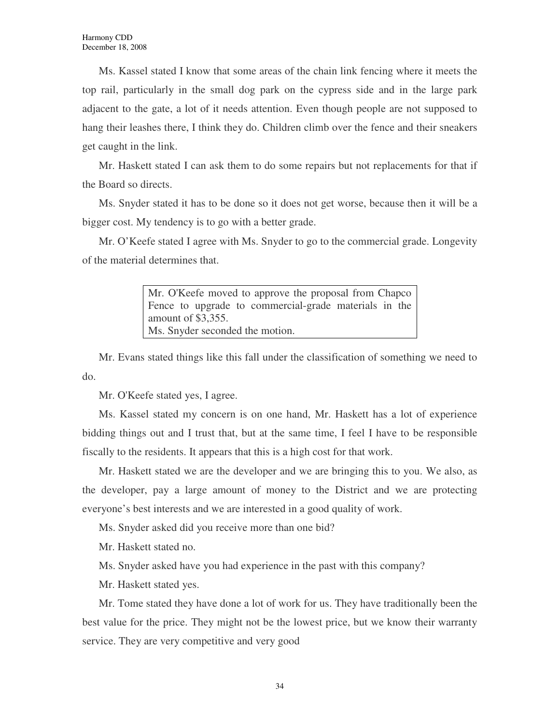Ms. Kassel stated I know that some areas of the chain link fencing where it meets the top rail, particularly in the small dog park on the cypress side and in the large park adjacent to the gate, a lot of it needs attention. Even though people are not supposed to hang their leashes there, I think they do. Children climb over the fence and their sneakers get caught in the link.

Mr. Haskett stated I can ask them to do some repairs but not replacements for that if the Board so directs.

Ms. Snyder stated it has to be done so it does not get worse, because then it will be a bigger cost. My tendency is to go with a better grade.

Mr. O'Keefe stated I agree with Ms. Snyder to go to the commercial grade. Longevity of the material determines that.

> Mr. O'Keefe moved to approve the proposal from Chapco Fence to upgrade to commercial-grade materials in the amount of \$3,355. Ms. Snyder seconded the motion.

Mr. Evans stated things like this fall under the classification of something we need to do.

Mr. O'Keefe stated yes, I agree.

Ms. Kassel stated my concern is on one hand, Mr. Haskett has a lot of experience bidding things out and I trust that, but at the same time, I feel I have to be responsible fiscally to the residents. It appears that this is a high cost for that work.

Mr. Haskett stated we are the developer and we are bringing this to you. We also, as the developer, pay a large amount of money to the District and we are protecting everyone's best interests and we are interested in a good quality of work.

Ms. Snyder asked did you receive more than one bid?

Mr. Haskett stated no.

Ms. Snyder asked have you had experience in the past with this company?

Mr. Haskett stated yes.

Mr. Tome stated they have done a lot of work for us. They have traditionally been the best value for the price. They might not be the lowest price, but we know their warranty service. They are very competitive and very good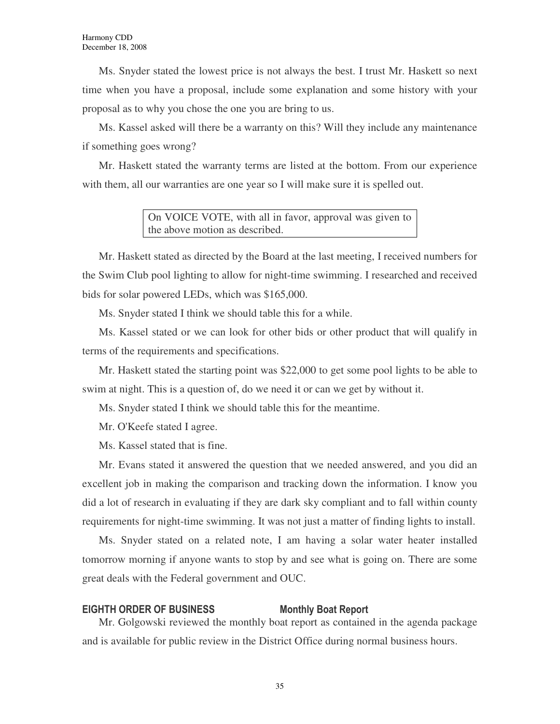Ms. Snyder stated the lowest price is not always the best. I trust Mr. Haskett so next time when you have a proposal, include some explanation and some history with your proposal as to why you chose the one you are bring to us.

Ms. Kassel asked will there be a warranty on this? Will they include any maintenance if something goes wrong?

Mr. Haskett stated the warranty terms are listed at the bottom. From our experience with them, all our warranties are one year so I will make sure it is spelled out.

> On VOICE VOTE, with all in favor, approval was given to the above motion as described.

Mr. Haskett stated as directed by the Board at the last meeting, I received numbers for the Swim Club pool lighting to allow for night-time swimming. I researched and received bids for solar powered LEDs, which was \$165,000.

Ms. Snyder stated I think we should table this for a while.

Ms. Kassel stated or we can look for other bids or other product that will qualify in terms of the requirements and specifications.

Mr. Haskett stated the starting point was \$22,000 to get some pool lights to be able to swim at night. This is a question of, do we need it or can we get by without it.

Ms. Snyder stated I think we should table this for the meantime.

Mr. O'Keefe stated I agree.

Ms. Kassel stated that is fine.

Mr. Evans stated it answered the question that we needed answered, and you did an excellent job in making the comparison and tracking down the information. I know you did a lot of research in evaluating if they are dark sky compliant and to fall within county requirements for night-time swimming. It was not just a matter of finding lights to install.

Ms. Snyder stated on a related note, I am having a solar water heater installed tomorrow morning if anyone wants to stop by and see what is going on. There are some great deals with the Federal government and OUC.

#### EIGHTH ORDER OF BUSINESS Monthly Boat Report

Mr. Golgowski reviewed the monthly boat report as contained in the agenda package and is available for public review in the District Office during normal business hours.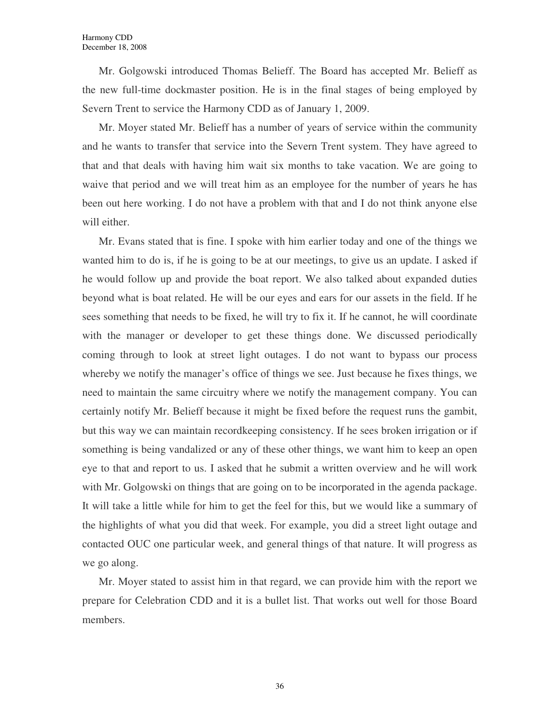Mr. Golgowski introduced Thomas Belieff. The Board has accepted Mr. Belieff as the new full-time dockmaster position. He is in the final stages of being employed by Severn Trent to service the Harmony CDD as of January 1, 2009.

Mr. Moyer stated Mr. Belieff has a number of years of service within the community and he wants to transfer that service into the Severn Trent system. They have agreed to that and that deals with having him wait six months to take vacation. We are going to waive that period and we will treat him as an employee for the number of years he has been out here working. I do not have a problem with that and I do not think anyone else will either.

Mr. Evans stated that is fine. I spoke with him earlier today and one of the things we wanted him to do is, if he is going to be at our meetings, to give us an update. I asked if he would follow up and provide the boat report. We also talked about expanded duties beyond what is boat related. He will be our eyes and ears for our assets in the field. If he sees something that needs to be fixed, he will try to fix it. If he cannot, he will coordinate with the manager or developer to get these things done. We discussed periodically coming through to look at street light outages. I do not want to bypass our process whereby we notify the manager's office of things we see. Just because he fixes things, we need to maintain the same circuitry where we notify the management company. You can certainly notify Mr. Belieff because it might be fixed before the request runs the gambit, but this way we can maintain recordkeeping consistency. If he sees broken irrigation or if something is being vandalized or any of these other things, we want him to keep an open eye to that and report to us. I asked that he submit a written overview and he will work with Mr. Golgowski on things that are going on to be incorporated in the agenda package. It will take a little while for him to get the feel for this, but we would like a summary of the highlights of what you did that week. For example, you did a street light outage and contacted OUC one particular week, and general things of that nature. It will progress as we go along.

Mr. Moyer stated to assist him in that regard, we can provide him with the report we prepare for Celebration CDD and it is a bullet list. That works out well for those Board members.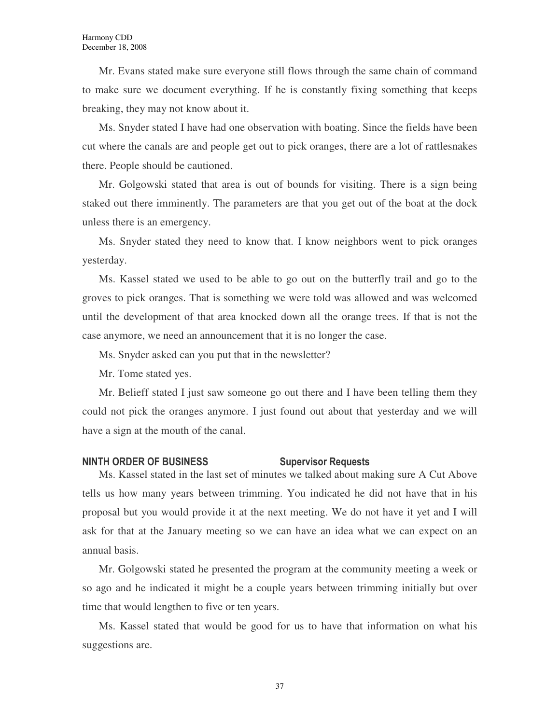Mr. Evans stated make sure everyone still flows through the same chain of command to make sure we document everything. If he is constantly fixing something that keeps breaking, they may not know about it.

Ms. Snyder stated I have had one observation with boating. Since the fields have been cut where the canals are and people get out to pick oranges, there are a lot of rattlesnakes there. People should be cautioned.

Mr. Golgowski stated that area is out of bounds for visiting. There is a sign being staked out there imminently. The parameters are that you get out of the boat at the dock unless there is an emergency.

Ms. Snyder stated they need to know that. I know neighbors went to pick oranges yesterday.

Ms. Kassel stated we used to be able to go out on the butterfly trail and go to the groves to pick oranges. That is something we were told was allowed and was welcomed until the development of that area knocked down all the orange trees. If that is not the case anymore, we need an announcement that it is no longer the case.

Ms. Snyder asked can you put that in the newsletter?

Mr. Tome stated yes.

Mr. Belieff stated I just saw someone go out there and I have been telling them they could not pick the oranges anymore. I just found out about that yesterday and we will have a sign at the mouth of the canal.

#### NINTH ORDER OF BUSINESS Supervisor Requests

Ms. Kassel stated in the last set of minutes we talked about making sure A Cut Above tells us how many years between trimming. You indicated he did not have that in his proposal but you would provide it at the next meeting. We do not have it yet and I will ask for that at the January meeting so we can have an idea what we can expect on an annual basis.

Mr. Golgowski stated he presented the program at the community meeting a week or so ago and he indicated it might be a couple years between trimming initially but over time that would lengthen to five or ten years.

Ms. Kassel stated that would be good for us to have that information on what his suggestions are.